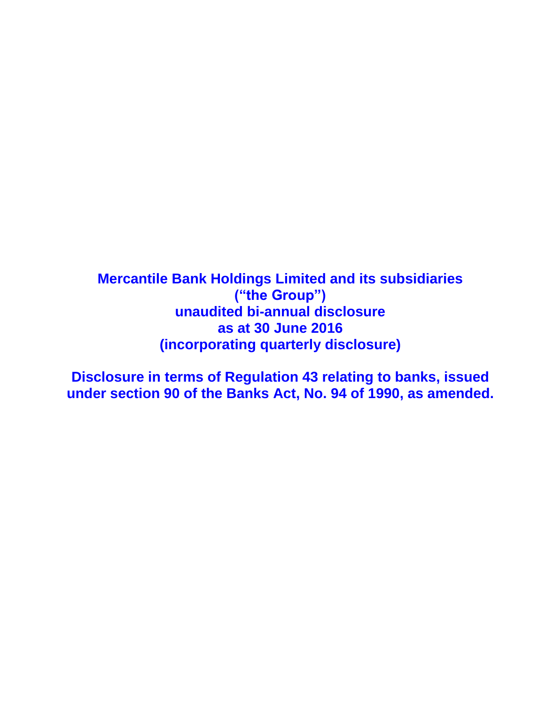**Mercantile Bank Holdings Limited and its subsidiaries ("the Group") unaudited bi-annual disclosure as at 30 June 2016 (incorporating quarterly disclosure)**

**Disclosure in terms of Regulation 43 relating to banks, issued under section 90 of the Banks Act, No. 94 of 1990, as amended.**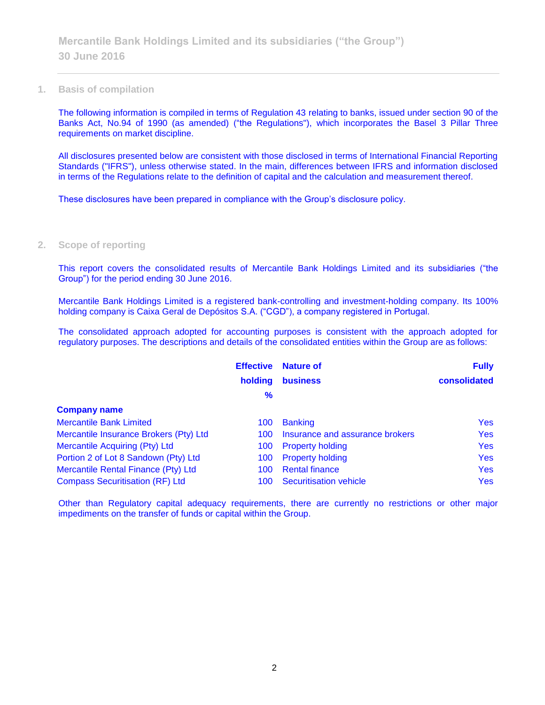#### **1. Basis of compilation**

The following information is compiled in terms of Regulation 43 relating to banks, issued under section 90 of the Banks Act, No.94 of 1990 (as amended) ("the Regulations"), which incorporates the Basel 3 Pillar Three requirements on market discipline.

All disclosures presented below are consistent with those disclosed in terms of International Financial Reporting Standards ("IFRS"), unless otherwise stated. In the main, differences between IFRS and information disclosed in terms of the Regulations relate to the definition of capital and the calculation and measurement thereof.

These disclosures have been prepared in compliance with the Group's disclosure policy.

### **2. Scope of reporting**

This report covers the consolidated results of Mercantile Bank Holdings Limited and its subsidiaries ("the Group") for the period ending 30 June 2016.

Mercantile Bank Holdings Limited is a registered bank-controlling and investment-holding company. Its 100% holding company is Caixa Geral de Depósitos S.A. ("CGD"), a company registered in Portugal.

The consolidated approach adopted for accounting purposes is consistent with the approach adopted for regulatory purposes. The descriptions and details of the consolidated entities within the Group are as follows:

|                                        | <b>Effective</b> | <b>Nature of</b>                | <b>Fully</b> |
|----------------------------------------|------------------|---------------------------------|--------------|
|                                        | holding          | <b>business</b>                 | consolidated |
|                                        | $\frac{9}{6}$    |                                 |              |
| <b>Company name</b>                    |                  |                                 |              |
| <b>Mercantile Bank Limited</b>         | 100              | <b>Banking</b>                  | <b>Yes</b>   |
| Mercantile Insurance Brokers (Pty) Ltd | 100              | Insurance and assurance brokers | <b>Yes</b>   |
| Mercantile Acquiring (Pty) Ltd         | 100              | <b>Property holding</b>         | <b>Yes</b>   |
| Portion 2 of Lot 8 Sandown (Pty) Ltd   | 100              | <b>Property holding</b>         | <b>Yes</b>   |
| Mercantile Rental Finance (Pty) Ltd    | 100              | <b>Rental finance</b>           | <b>Yes</b>   |
| <b>Compass Securitisation (RF) Ltd</b> | 100              | <b>Securitisation vehicle</b>   | <b>Yes</b>   |

Other than Regulatory capital adequacy requirements, there are currently no restrictions or other major impediments on the transfer of funds or capital within the Group.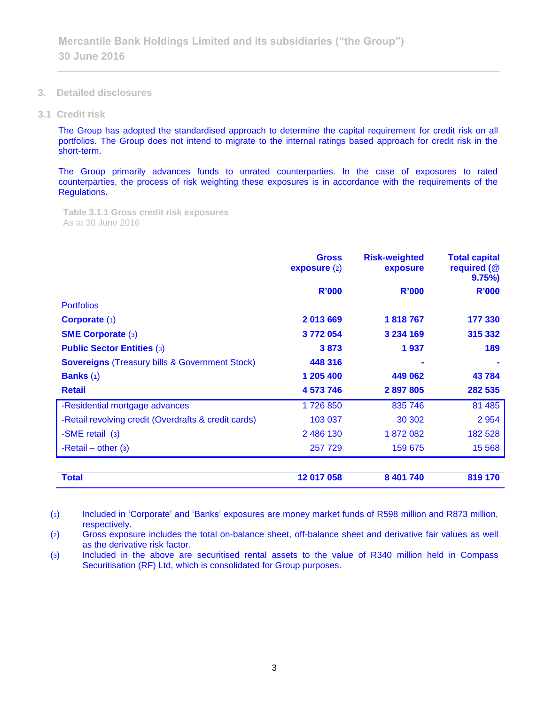- **3. Detailed disclosures**
- **3.1 Credit risk**

The Group has adopted the standardised approach to determine the capital requirement for credit risk on all portfolios. The Group does not intend to migrate to the internal ratings based approach for credit risk in the short-term.

The Group primarily advances funds to unrated counterparties. In the case of exposures to rated counterparties, the process of risk weighting these exposures is in accordance with the requirements of the Regulations.

**Table 3.1.1 Gross credit risk exposures**  As at 30 June 2016

|                                                           | <b>Gross</b><br>exposure $(2)$ | <b>Risk-weighted</b><br>exposure | <b>Total capital</b><br>required (@<br>$9.75\%$ |
|-----------------------------------------------------------|--------------------------------|----------------------------------|-------------------------------------------------|
|                                                           | <b>R'000</b>                   | <b>R'000</b>                     | R'000                                           |
| <b>Portfolios</b>                                         |                                |                                  |                                                 |
| <b>Corporate (1)</b>                                      | 2013669                        | 1818767                          | 177 330                                         |
| <b>SME Corporate (3)</b>                                  | 3772054                        | 3 234 169                        | 315 332                                         |
| <b>Public Sector Entities (3)</b>                         | 3873                           | 1937                             | 189                                             |
| <b>Sovereigns (Treasury bills &amp; Government Stock)</b> | 448 316                        |                                  |                                                 |
| <b>Banks</b> $(1)$                                        | 1 205 400                      | 449 062                          | 43784                                           |
| <b>Retail</b>                                             | 4 573 746                      | 2897805                          | 282 535                                         |
| -Residential mortgage advances                            | 1726850                        | 835 746                          | 81 4 85                                         |
| -Retail revolving credit (Overdrafts & credit cards)      | 103 037                        | 30 30 2                          | 2 9 5 4                                         |
| -SME retail (3)                                           | 2 486 130                      | 1872082                          | 182 528                                         |
| -Retail – other $(3)$                                     | 257 729                        | 159 675                          | 15 5 68                                         |
| <b>Total</b>                                              | 12 017 058                     | 8 401 740                        | 819 170                                         |

(1) Included in 'Corporate' and 'Banks' exposures are money market funds of R598 million and R873 million, respectively.

(2) Gross exposure includes the total on-balance sheet, off-balance sheet and derivative fair values as well as the derivative risk factor.

(3) Included in the above are securitised rental assets to the value of R340 million held in Compass Securitisation (RF) Ltd, which is consolidated for Group purposes.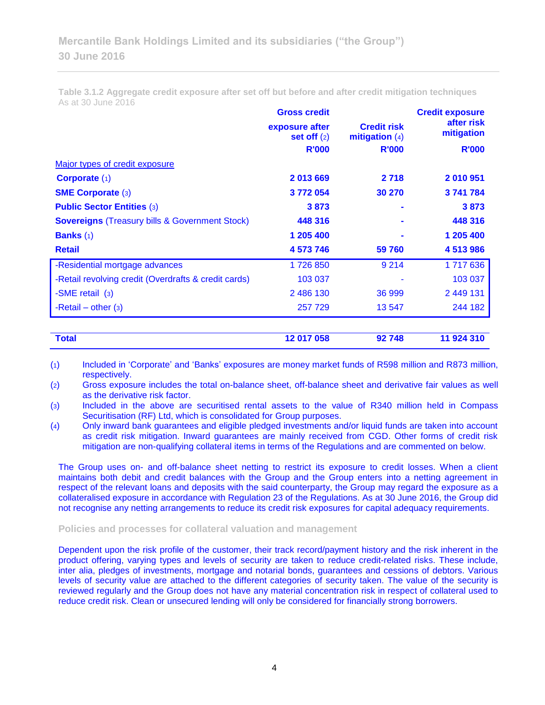**Table 3.1.2 Aggregate credit exposure after set off but before and after credit mitigation techniques** As at 30 June 2016

|                                                           | <b>Gross credit</b>             |                                        | <b>Credit exposure</b>   |
|-----------------------------------------------------------|---------------------------------|----------------------------------------|--------------------------|
|                                                           | exposure after<br>set off $(2)$ | <b>Credit risk</b><br>mitigation $(4)$ | after risk<br>mitigation |
|                                                           | <b>R'000</b>                    | <b>R'000</b>                           | <b>R'000</b>             |
| Major types of credit exposure                            |                                 |                                        |                          |
| Corporate $(1)$                                           | 2013669                         | 2 7 1 8                                | 2010951                  |
| <b>SME Corporate (3)</b>                                  | 3772054                         | 30 270                                 | 3741784                  |
| <b>Public Sector Entities (3)</b>                         | 3873                            |                                        | 3873                     |
| <b>Sovereigns (Treasury bills &amp; Government Stock)</b> | 448 316                         |                                        | 448 316                  |
| <b>Banks</b> $(1)$                                        | 1 205 400                       |                                        | 1 205 400                |
| <b>Retail</b>                                             | 4 573 746                       | 59 760                                 | 4 513 986                |
| -Residential mortgage advances                            | 1726850                         | 9 2 1 4                                | 1717636                  |
| -Retail revolving credit (Overdrafts & credit cards)      | 103 037                         |                                        | 103 037                  |
| -SME retail (3)                                           | 2486130                         | 36 999                                 | 2 449 131                |
| -Retail – other $(3)$                                     | 257 729                         | 13 547                                 | 244 182                  |
| <b>Total</b>                                              | 12 017 058                      | 92748                                  | 11 924 310               |

(1) Included in 'Corporate' and 'Banks' exposures are money market funds of R598 million and R873 million, respectively.

(2) Gross exposure includes the total on-balance sheet, off-balance sheet and derivative fair values as well as the derivative risk factor.

(3) Included in the above are securitised rental assets to the value of R340 million held in Compass Securitisation (RF) Ltd, which is consolidated for Group purposes.

(4) Only inward bank guarantees and eligible pledged investments and/or liquid funds are taken into account as credit risk mitigation. Inward guarantees are mainly received from CGD. Other forms of credit risk mitigation are non-qualifying collateral items in terms of the Regulations and are commented on below.

The Group uses on- and off-balance sheet netting to restrict its exposure to credit losses. When a client maintains both debit and credit balances with the Group and the Group enters into a netting agreement in respect of the relevant loans and deposits with the said counterparty, the Group may regard the exposure as a collateralised exposure in accordance with Regulation 23 of the Regulations. As at 30 June 2016, the Group did not recognise any netting arrangements to reduce its credit risk exposures for capital adequacy requirements.

### **Policies and processes for collateral valuation and management**

Dependent upon the risk profile of the customer, their track record/payment history and the risk inherent in the product offering, varying types and levels of security are taken to reduce credit-related risks. These include, inter alia, pledges of investments, mortgage and notarial bonds, guarantees and cessions of debtors. Various levels of security value are attached to the different categories of security taken. The value of the security is reviewed regularly and the Group does not have any material concentration risk in respect of collateral used to reduce credit risk. Clean or unsecured lending will only be considered for financially strong borrowers.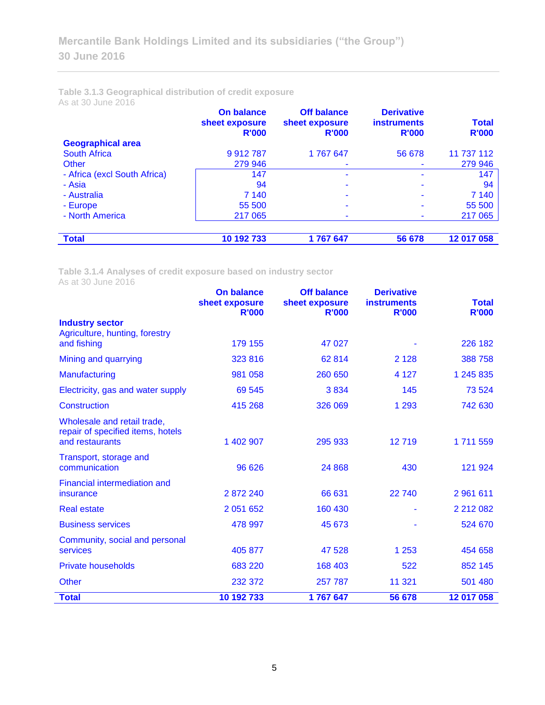**Table 3.1.3 Geographical distribution of credit exposure** As at 30 June 2016

|                              | <b>On balance</b><br>sheet exposure<br><b>R'000</b> | <b>Off balance</b><br>sheet exposure<br><b>R'000</b> | <b>Derivative</b><br><b>instruments</b><br><b>R'000</b> | <b>Total</b><br><b>R'000</b> |
|------------------------------|-----------------------------------------------------|------------------------------------------------------|---------------------------------------------------------|------------------------------|
| <b>Geographical area</b>     |                                                     |                                                      |                                                         |                              |
| <b>South Africa</b>          | 9912787                                             | 1767647                                              | 56 678                                                  | 11 737 112                   |
| Other                        | 279 946                                             |                                                      |                                                         | 279 946                      |
| - Africa (excl South Africa) | 147                                                 | ۰                                                    |                                                         | 147                          |
| - Asia                       | 94                                                  |                                                      |                                                         | 94                           |
| - Australia                  | 7 140                                               | ۰                                                    |                                                         | 7 140                        |
| - Europe                     | 55 500                                              |                                                      |                                                         | 55 500                       |
| - North America              | 217 065                                             | ۰                                                    |                                                         | 217 065                      |
|                              |                                                     |                                                      |                                                         |                              |
| <b>Total</b>                 | 10 192 733                                          | 1767647                                              | 56 678                                                  | 12 017 058                   |

**Table 3.1.4 Analyses of credit exposure based on industry sector** As at 30 June 2016

|                                                                                     | <b>On balance</b><br>sheet exposure<br><b>R'000</b> | <b>Off balance</b><br>sheet exposure<br><b>R'000</b> | <b>Derivative</b><br><b>instruments</b><br><b>R'000</b> | <b>Total</b><br><b>R'000</b> |
|-------------------------------------------------------------------------------------|-----------------------------------------------------|------------------------------------------------------|---------------------------------------------------------|------------------------------|
| <b>Industry sector</b>                                                              |                                                     |                                                      |                                                         |                              |
| Agriculture, hunting, forestry<br>and fishing                                       | 179 155                                             | 47 027                                               |                                                         | 226 182                      |
|                                                                                     |                                                     |                                                      |                                                         |                              |
| Mining and quarrying                                                                | 323 816                                             | 62814                                                | 2 1 2 8                                                 | 388 758                      |
| Manufacturing                                                                       | 981 058                                             | 260 650                                              | 4 1 2 7                                                 | 1 245 835                    |
| Electricity, gas and water supply                                                   | 69 545                                              | 3834                                                 | 145                                                     | 73 524                       |
| <b>Construction</b>                                                                 | 415 268                                             | 326 069                                              | 1 2 9 3                                                 | 742 630                      |
| Wholesale and retail trade,<br>repair of specified items, hotels<br>and restaurants | 1 402 907                                           | 295 933                                              | 12719                                                   | 1711559                      |
| Transport, storage and<br>communication                                             | 96 626                                              | 24 8 68                                              | 430                                                     | 121 924                      |
| Financial intermediation and<br>insurance                                           | 2872240                                             | 66 631                                               | 22 740                                                  | 2 961 611                    |
| <b>Real estate</b>                                                                  | 2 0 51 6 52                                         | 160 430                                              |                                                         | 2 212 082                    |
| <b>Business services</b>                                                            | 478 997                                             | 45 673                                               |                                                         | 524 670                      |
| Community, social and personal<br>services                                          | 405 877                                             | 47 528                                               | 1 2 5 3                                                 | 454 658                      |
| <b>Private households</b>                                                           | 683 220                                             | 168 403                                              | 522                                                     | 852 145                      |
| <b>Other</b>                                                                        | 232 372                                             | 257 787                                              | 11 321                                                  | 501 480                      |
| <b>Total</b>                                                                        | 10 192 733                                          | 1767647                                              | 56 678                                                  | 12 017 058                   |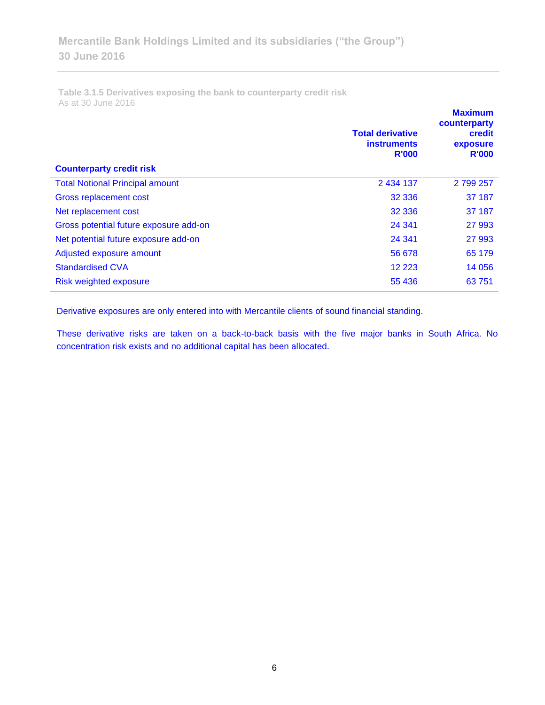**Table 3.1.5 Derivatives exposing the bank to counterparty credit risk**  As at 30 June 2016

| <b>Counterparty credit risk</b>        | <b>Total derivative</b><br><b>instruments</b><br><b>R'000</b> | <b>Maximum</b><br>counterparty<br>credit<br>exposure<br><b>R'000</b> |
|----------------------------------------|---------------------------------------------------------------|----------------------------------------------------------------------|
| <b>Total Notional Principal amount</b> | 2 434 137                                                     | 2 799 257                                                            |
| Gross replacement cost                 | 32 336                                                        | 37 187                                                               |
| Net replacement cost                   | 32 336                                                        | 37 187                                                               |
| Gross potential future exposure add-on | 24 341                                                        | 27 993                                                               |
| Net potential future exposure add-on   | 24 341                                                        | 27 993                                                               |
| Adjusted exposure amount               | 56 678                                                        | 65 179                                                               |
| <b>Standardised CVA</b>                | 12 2 2 3                                                      | 14 0 56                                                              |
| Risk weighted exposure                 | 55 436                                                        | 63751                                                                |

Derivative exposures are only entered into with Mercantile clients of sound financial standing.

These derivative risks are taken on a back-to-back basis with the five major banks in South Africa. No concentration risk exists and no additional capital has been allocated.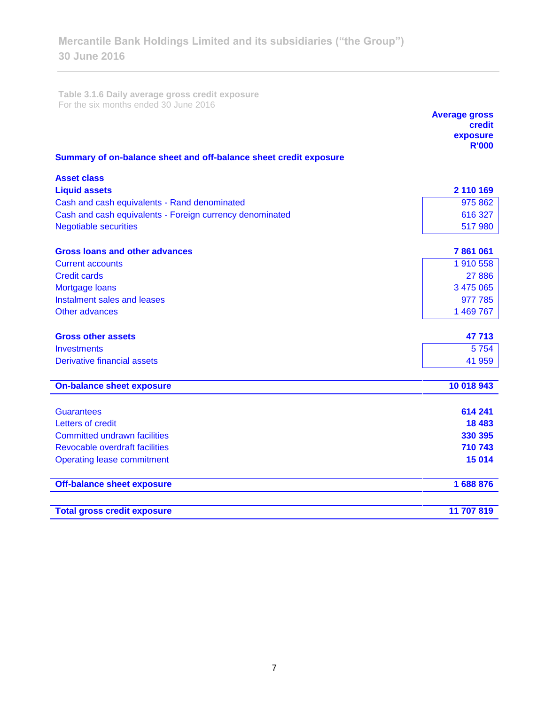**Table 3.1.6 Daily average gross credit exposure**  For the six months ended 30 June 2016

|                                                                   | <b>Average gross</b><br>credit<br>exposure<br><b>R'000</b> |
|-------------------------------------------------------------------|------------------------------------------------------------|
| Summary of on-balance sheet and off-balance sheet credit exposure |                                                            |
| <b>Asset class</b>                                                |                                                            |
| <b>Liquid assets</b>                                              | 2 110 169                                                  |
| Cash and cash equivalents - Rand denominated                      | 975 862                                                    |
| Cash and cash equivalents - Foreign currency denominated          | 616 327                                                    |
| <b>Negotiable securities</b>                                      | 517 980                                                    |
| Gross loans and other advances                                    | 7861061                                                    |
| <b>Current accounts</b>                                           | 1 910 558                                                  |
| <b>Credit cards</b>                                               | 27 8 86                                                    |
| Mortgage loans                                                    | 3 475 065                                                  |
| Instalment sales and leases                                       | 977 785                                                    |
| Other advances                                                    | 1 469 767                                                  |
| <b>Gross other assets</b>                                         | 47713                                                      |
| Investments                                                       | 5754                                                       |
| <b>Derivative financial assets</b>                                | 41 959                                                     |
| <b>On-balance sheet exposure</b>                                  | 10 018 943                                                 |
|                                                                   |                                                            |
| <b>Guarantees</b>                                                 | 614 241                                                    |
| Letters of credit                                                 | 18 4 83                                                    |
| <b>Committed undrawn facilities</b>                               | 330 395                                                    |
| Revocable overdraft facilities                                    | 710 743                                                    |
| <b>Operating lease commitment</b>                                 | 15 014                                                     |
| <b>Off-balance sheet exposure</b>                                 | 1688876                                                    |
| <b>Total gross credit exposure</b>                                | 11 707 819                                                 |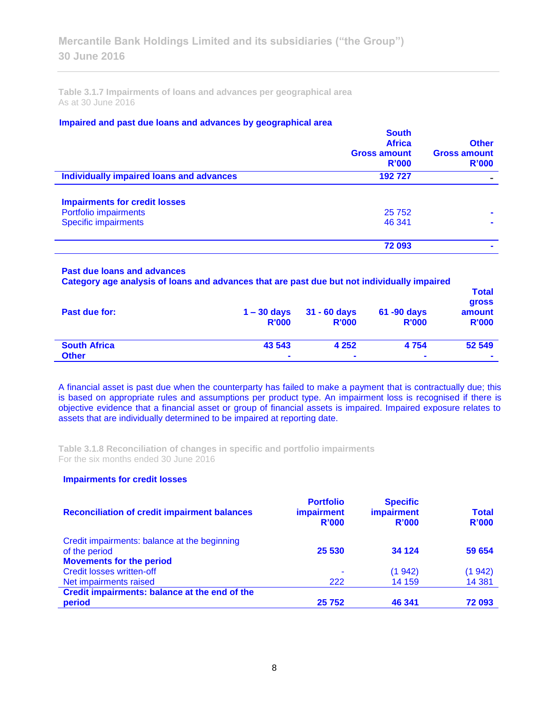**Table 3.1.7 Impairments of loans and advances per geographical area**  As at 30 June 2016

### **Impaired and past due loans and advances by geographical area**

|                                          | <b>South</b><br><b>Africa</b><br><b>Gross amount</b><br>R'000 | <b>Other</b><br><b>Gross amount</b><br>R'000 |
|------------------------------------------|---------------------------------------------------------------|----------------------------------------------|
| Individually impaired loans and advances | 192727                                                        |                                              |
| <b>Impairments for credit losses</b>     |                                                               |                                              |
| Portfolio impairments                    | 25 7 52                                                       |                                              |
| <b>Specific impairments</b>              | 46 341                                                        |                                              |
|                                          | 72 093                                                        |                                              |

### **Past due loans and advances**

**Category age analysis of loans and advances that are past due but not individually impaired** 

| Past due for:       | $1 - 30$ days<br><b>R'000</b> | $31 - 60$ days<br><b>R'000</b> | 61 -90 days<br><b>R'000</b> | <b>Total</b><br><b>gross</b><br>amount<br><b>R'000</b> |
|---------------------|-------------------------------|--------------------------------|-----------------------------|--------------------------------------------------------|
| <b>South Africa</b> | 43 543                        | 4 2 5 2                        | 4 7 5 4                     | 52 549                                                 |
| <b>Other</b>        | $\blacksquare$                | $\blacksquare$                 | $\blacksquare$              | $\blacksquare$                                         |

A financial asset is past due when the counterparty has failed to make a payment that is contractually due; this is based on appropriate rules and assumptions per product type. An impairment loss is recognised if there is objective evidence that a financial asset or group of financial assets is impaired. Impaired exposure relates to assets that are individually determined to be impaired at reporting date.

**Table 3.1.8 Reconciliation of changes in specific and portfolio impairments**  For the six months ended 30 June 2016

### **Impairments for credit losses**

| <b>Reconciliation of credit impairment balances</b> | <b>Portfolio</b><br><b>impairment</b><br>R'000 | <b>Specific</b><br>impairment<br>R'000 | <b>Total</b><br>R'000 |
|-----------------------------------------------------|------------------------------------------------|----------------------------------------|-----------------------|
| Credit impairments: balance at the beginning        |                                                |                                        |                       |
| of the period                                       | 25 530                                         | 34 1 24                                | 59 654                |
| <b>Movements for the period</b>                     |                                                |                                        |                       |
| <b>Credit losses written-off</b>                    | ۰                                              | (1942)                                 | (1942)                |
| Net impairments raised                              | 222                                            | 14 159                                 | 14 3 81               |
| Credit impairments: balance at the end of the       |                                                |                                        |                       |
| period                                              | 25 752                                         | 46 341                                 | 72 093                |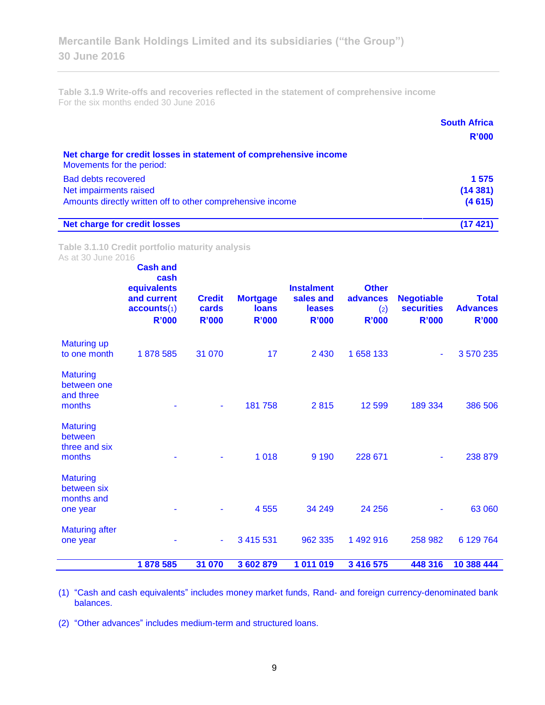**Table 3.1.9 Write-offs and recoveries reflected in the statement of comprehensive income** For the six months ended 30 June 2016

|                                                                                                | <b>South Africa</b> |
|------------------------------------------------------------------------------------------------|---------------------|
|                                                                                                | R'000               |
| Net charge for credit losses in statement of comprehensive income<br>Movements for the period: |                     |
| <b>Bad debts recovered</b>                                                                     | 1 575               |
| Net impairments raised                                                                         | (14381)             |
| Amounts directly written off to other comprehensive income                                     | (4615)              |
| <b>Net charge for credit losses</b>                                                            | (17421)             |

**Table 3.1.10 Credit portfolio maturity analysis** As at 30 June 2016

|                                                          | <b>Cash and</b><br>cash<br>equivalents<br>and current<br>accounts(1)<br><b>R'000</b> | <b>Credit</b><br>cards<br><b>R'000</b> | <b>Mortgage</b><br><b>loans</b><br><b>R'000</b> | <b>Instalment</b><br>sales and<br><b>leases</b><br><b>R'000</b> | <b>Other</b><br>advances<br>(2)<br><b>R'000</b> | <b>Negotiable</b><br><b>securities</b><br><b>R'000</b> | <b>Total</b><br><b>Advances</b><br><b>R'000</b> |
|----------------------------------------------------------|--------------------------------------------------------------------------------------|----------------------------------------|-------------------------------------------------|-----------------------------------------------------------------|-------------------------------------------------|--------------------------------------------------------|-------------------------------------------------|
| <b>Maturing up</b><br>to one month                       | 1878585                                                                              | 31 070                                 | 17                                              | 2 4 3 0                                                         | 1 658 133                                       | ٠                                                      | 3570235                                         |
| <b>Maturing</b><br>between one<br>and three<br>months    |                                                                                      | ٠                                      | 181758                                          | 2815                                                            | 12 599                                          | 189 334                                                | 386 506                                         |
| <b>Maturing</b><br>between<br>three and six<br>months    |                                                                                      |                                        | 1 0 1 8                                         | 9 1 9 0                                                         | 228 671                                         |                                                        | 238 879                                         |
| <b>Maturing</b><br>between six<br>months and<br>one year |                                                                                      |                                        | 4 5 5 5                                         | 34 249                                                          | 24 25 6                                         |                                                        | 63 060                                          |
| <b>Maturing after</b><br>one year                        |                                                                                      |                                        | 3 4 1 5 5 3 1                                   | 962 335                                                         | 1 492 916                                       | 258 982                                                | 6 129 764                                       |
|                                                          | 1878 585                                                                             | 31 070                                 | 3 602 879                                       | 1 011 019                                                       | 3 416 575                                       | 448 316                                                | 10 388 444                                      |

(1) "Cash and cash equivalents" includes money market funds, Rand- and foreign currency-denominated bank balances.

(2) "Other advances" includes medium-term and structured loans.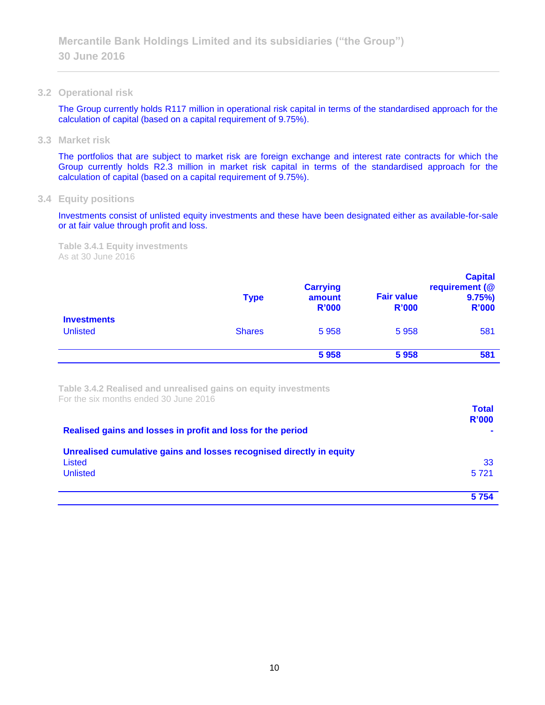**3.2 Operational risk**

The Group currently holds R117 million in operational risk capital in terms of the standardised approach for the calculation of capital (based on a capital requirement of 9.75%).

**3.3 Market risk**

The portfolios that are subject to market risk are foreign exchange and interest rate contracts for which the Group currently holds R2.3 million in market risk capital in terms of the standardised approach for the calculation of capital (based on a capital requirement of 9.75%).

**3.4 Equity positions**

Investments consist of unlisted equity investments and these have been designated either as available-for-sale or at fair value through profit and loss.

**Table 3.4.1 Equity investments** As at 30 June 2016

|                                       | <b>Type</b>   | <b>Carrying</b><br>amount<br><b>R'000</b> | <b>Fair value</b><br><b>R'000</b> | <b>Capital</b><br>requirement (@<br>9.75%<br><b>R'000</b> |
|---------------------------------------|---------------|-------------------------------------------|-----------------------------------|-----------------------------------------------------------|
| <b>Investments</b><br><b>Unlisted</b> | <b>Shares</b> | 5958                                      | 5958                              | 581                                                       |
|                                       |               | 5958                                      | 5958                              | 581                                                       |

**Table 3.4.2 Realised and unrealised gains on equity investments** For the six months ended 30 June 2016

| Realised gains and losses in profit and loss for the period                                       | <b>Total</b><br>R'000 |
|---------------------------------------------------------------------------------------------------|-----------------------|
| Unrealised cumulative gains and losses recognised directly in equity<br>Listed<br><b>Unlisted</b> | 33<br>5721            |
|                                                                                                   | 5754                  |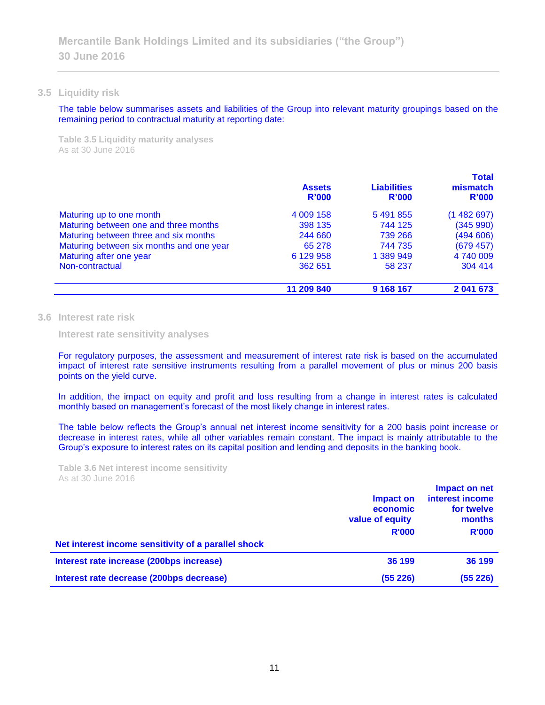### **3.5 Liquidity risk**

The table below summarises assets and liabilities of the Group into relevant maturity groupings based on the remaining period to contractual maturity at reporting date:

**Table 3.5 Liquidity maturity analyses** As at 30 June 2016

|                                          | <b>Assets</b><br>R'000 | <b>Liabilities</b><br>R'000 | <b>Total</b><br>mismatch<br>R'000 |
|------------------------------------------|------------------------|-----------------------------|-----------------------------------|
| Maturing up to one month                 | 4 009 158              | 5 491 855                   | (1482697)                         |
| Maturing between one and three months    | 398 135                | 744 125                     | (345990)                          |
| Maturing between three and six months    | 244 660                | 739 266                     | (494606)                          |
| Maturing between six months and one year | 65 278                 | 744 735                     | (679 457)                         |
| Maturing after one year                  | 6 129 958              | 1 389 949                   | 4 740 009                         |
| Non-contractual                          | 362 651                | 58 237                      | 304 414                           |
|                                          | 11 209 840             | 9 168 167                   | 2 041 673                         |

### **3.6 Interest rate risk**

**Interest rate sensitivity analyses**

For regulatory purposes, the assessment and measurement of interest rate risk is based on the accumulated impact of interest rate sensitive instruments resulting from a parallel movement of plus or minus 200 basis points on the yield curve.

In addition, the impact on equity and profit and loss resulting from a change in interest rates is calculated monthly based on management's forecast of the most likely change in interest rates.

The table below reflects the Group's annual net interest income sensitivity for a 200 basis point increase or decrease in interest rates, while all other variables remain constant. The impact is mainly attributable to the Group's exposure to interest rates on its capital position and lending and deposits in the banking book.

**Table 3.6 Net interest income sensitivity** As at 30 June 2016

|                                                     | Impact on<br>economic<br>value of equity<br><b>R'000</b> | Impact on net<br>interest income<br>for twelve<br>months<br><b>R'000</b> |  |
|-----------------------------------------------------|----------------------------------------------------------|--------------------------------------------------------------------------|--|
| Net interest income sensitivity of a parallel shock |                                                          |                                                                          |  |
| Interest rate increase (200bps increase)            | 36 199                                                   | 36 199                                                                   |  |
| Interest rate decrease (200bps decrease)            | (55226)                                                  | (55226)                                                                  |  |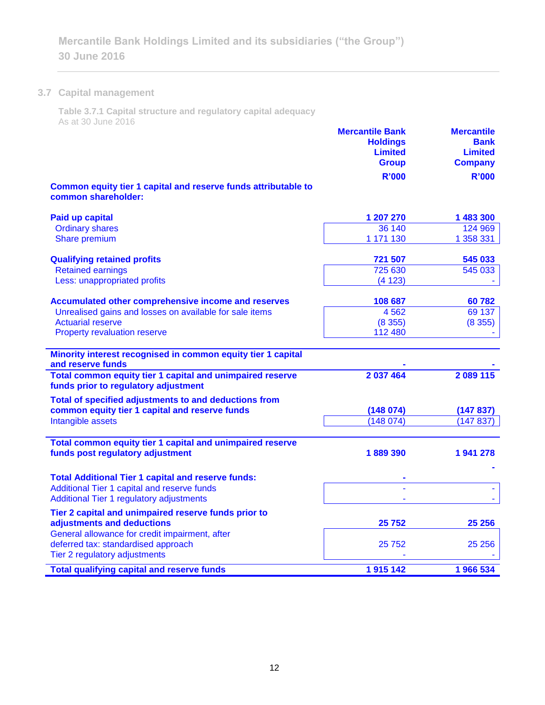### **3.7 Capital management**

 $\frac{\partial}{\partial x^2} = \frac{\partial}{\partial x^2} + \frac{\partial}{\partial y^2} + \frac{\partial}{\partial z^2} + \frac{\partial}{\partial z^2} + \frac{\partial}{\partial z^2} + \frac{\partial}{\partial z^2} + \frac{\partial}{\partial z^2} + \frac{\partial}{\partial z^2} + \frac{\partial}{\partial z^2} + \frac{\partial}{\partial z^2} + \frac{\partial}{\partial z^2} + \frac{\partial}{\partial z^2} + \frac{\partial}{\partial z^2} + \frac{\partial}{\partial z^2} + \frac{\partial}{\partial z^2} + \frac{\partial}{\partial z^2} + \frac{\partial}{\partial z^2} + \frac{\partial$ 

**Table 3.7.1 Capital structure and regulatory capital adequacy** As at 30 June 2016

| QUUU UUNG ZUTU                                                                                    | <b>Mercantile Bank</b><br><b>Holdings</b><br><b>Limited</b><br><b>Group</b><br><b>R'000</b> | <b>Mercantile</b><br><b>Bank</b><br><b>Limited</b><br><b>Company</b><br><b>R'000</b> |
|---------------------------------------------------------------------------------------------------|---------------------------------------------------------------------------------------------|--------------------------------------------------------------------------------------|
| Common equity tier 1 capital and reserve funds attributable to<br>common shareholder:             |                                                                                             |                                                                                      |
| <b>Paid up capital</b>                                                                            | 1 207 270                                                                                   | 1 483 300                                                                            |
| <b>Ordinary shares</b>                                                                            | 36 140                                                                                      | 124 969                                                                              |
| Share premium                                                                                     | 1 171 130                                                                                   | 1 358 331                                                                            |
| <b>Qualifying retained profits</b>                                                                | 721 507                                                                                     | 545 033                                                                              |
| <b>Retained earnings</b>                                                                          | 725 630                                                                                     | 545 033                                                                              |
| Less: unappropriated profits                                                                      | (4123)                                                                                      |                                                                                      |
| Accumulated other comprehensive income and reserves                                               | 108 687                                                                                     | 60782                                                                                |
| Unrealised gains and losses on available for sale items                                           | 4 5 6 2                                                                                     | 69 137                                                                               |
| <b>Actuarial reserve</b>                                                                          | (8355)                                                                                      | (8355)                                                                               |
| Property revaluation reserve                                                                      | 112 480                                                                                     |                                                                                      |
| Minority interest recognised in common equity tier 1 capital<br>and reserve funds                 |                                                                                             |                                                                                      |
| Total common equity tier 1 capital and unimpaired reserve<br>funds prior to regulatory adjustment | 2 037 464                                                                                   | 2 089 115                                                                            |
| Total of specified adjustments to and deductions from                                             |                                                                                             |                                                                                      |
| common equity tier 1 capital and reserve funds                                                    | (148074)                                                                                    | (147837)                                                                             |
| Intangible assets                                                                                 | (148074)                                                                                    | (147837)                                                                             |
| Total common equity tier 1 capital and unimpaired reserve                                         |                                                                                             |                                                                                      |
| funds post regulatory adjustment                                                                  | 1889390                                                                                     | 1941278                                                                              |
| <b>Total Additional Tier 1 capital and reserve funds:</b>                                         |                                                                                             |                                                                                      |
| Additional Tier 1 capital and reserve funds                                                       |                                                                                             |                                                                                      |
| Additional Tier 1 regulatory adjustments                                                          |                                                                                             |                                                                                      |
| Tier 2 capital and unimpaired reserve funds prior to                                              |                                                                                             |                                                                                      |
| adjustments and deductions                                                                        | 25752                                                                                       | 25 25 6                                                                              |
| General allowance for credit impairment, after                                                    |                                                                                             |                                                                                      |
| deferred tax: standardised approach                                                               | 25752                                                                                       | 25 25 6                                                                              |
| Tier 2 regulatory adjustments                                                                     |                                                                                             |                                                                                      |
| <b>Total qualifying capital and reserve funds</b>                                                 | 1915142                                                                                     | 1966 534                                                                             |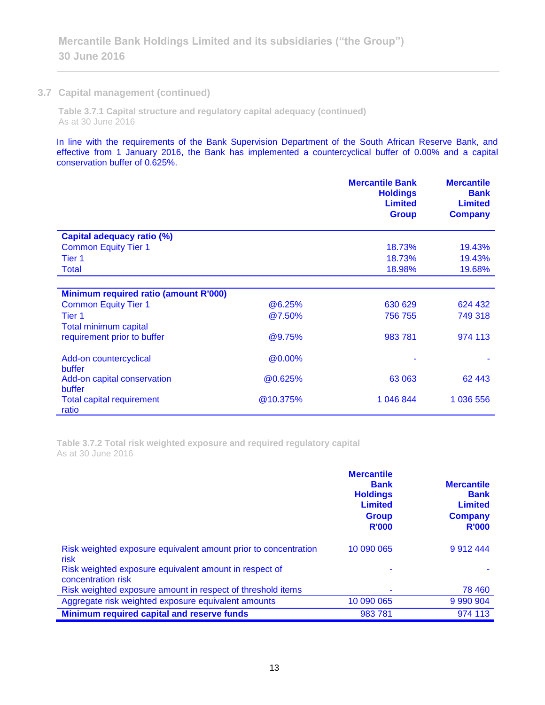### **3.7 Capital management (continued)**

**Table 3.7.1 Capital structure and regulatory capital adequacy (continued)** As at 30 June 2016

In line with the requirements of the Bank Supervision Department of the South African Reserve Bank, and effective from 1 January 2016, the Bank has implemented a countercyclical buffer of 0.00% and a capital conservation buffer of 0.625%.

|                                              |          | <b>Mercantile Bank</b><br><b>Holdings</b><br><b>Limited</b><br><b>Group</b> | <b>Mercantile</b><br><b>Bank</b><br><b>Limited</b><br><b>Company</b> |
|----------------------------------------------|----------|-----------------------------------------------------------------------------|----------------------------------------------------------------------|
| <b>Capital adequacy ratio (%)</b>            |          |                                                                             |                                                                      |
| <b>Common Equity Tier 1</b>                  |          | 18.73%                                                                      | 19.43%                                                               |
| Tier 1                                       |          | 18.73%                                                                      | 19.43%                                                               |
| <b>Total</b>                                 |          | 18.98%                                                                      | 19.68%                                                               |
|                                              |          |                                                                             |                                                                      |
| <b>Minimum required ratio (amount R'000)</b> |          |                                                                             |                                                                      |
| <b>Common Equity Tier 1</b>                  | @6.25%   | 630 629                                                                     | 624 432                                                              |
| Tier 1                                       | @7.50%   | 756 755                                                                     | 749 318                                                              |
| <b>Total minimum capital</b>                 |          |                                                                             |                                                                      |
| requirement prior to buffer                  | @9.75%   | 983 781                                                                     | 974 113                                                              |
| Add-on countercyclical<br>buffer             | @0.00%   |                                                                             |                                                                      |
| Add-on capital conservation                  | @0.625%  | 63 063                                                                      | 62 443                                                               |
| buffer                                       |          |                                                                             |                                                                      |
| <b>Total capital requirement</b><br>ratio    | @10.375% | 1 046 844                                                                   | 1 036 556                                                            |

**Table 3.7.2 Total risk weighted exposure and required regulatory capital** As at 30 June 2016

|                                                                              | <b>Mercantile</b><br><b>Bank</b><br><b>Holdings</b><br><b>Limited</b><br><b>Group</b><br><b>R'000</b> | <b>Mercantile</b><br><b>Bank</b><br><b>Limited</b><br><b>Company</b><br><b>R'000</b> |
|------------------------------------------------------------------------------|-------------------------------------------------------------------------------------------------------|--------------------------------------------------------------------------------------|
| Risk weighted exposure equivalent amount prior to concentration<br>risk      | 10 090 065                                                                                            | 9912444                                                                              |
| Risk weighted exposure equivalent amount in respect of<br>concentration risk |                                                                                                       |                                                                                      |
| Risk weighted exposure amount in respect of threshold items                  |                                                                                                       | 78 460                                                                               |
| Aggregate risk weighted exposure equivalent amounts                          | 10 090 065                                                                                            |                                                                                      |
| Minimum required capital and reserve funds                                   | 983781                                                                                                | 974 113                                                                              |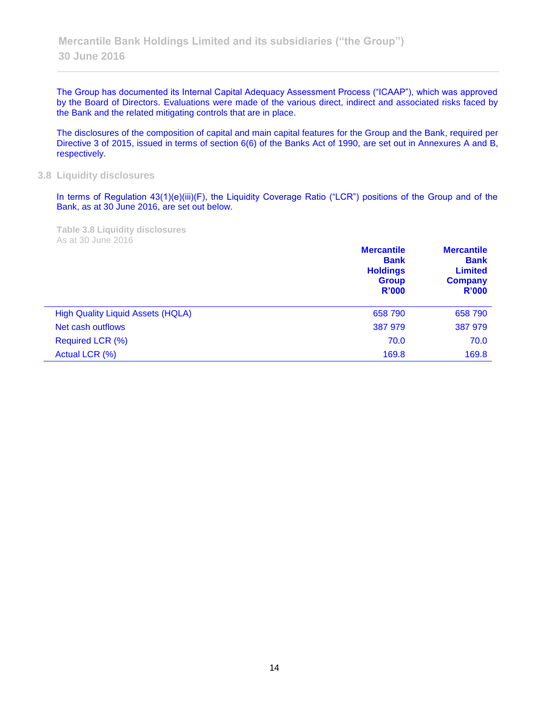The Group has documented its Internal Capital Adequacy Assessment Process ("ICAAP"), which was approved by the Board of Directors. Evaluations were made of the various direct, indirect and associated risks faced by the Bank and the related mitigating controls that are in place.

The disclosures of the composition of capital and main capital features for the Group and the Bank, required per Directive 3 of 2015, issued in terms of section 6(6) of the Banks Act of 1990, are set out in Annexures A and B, respectively.

### **3.8 Liquidity disclosures**

In terms of Regulation 43(1)(e)(iii)(F), the Liquidity Coverage Ratio ("LCR") positions of the Group and of the Bank, as at 30 June 2016, are set out below.

**Table 3.8 Liquidity disclosures** As at 30 June 2016

|                                          | <b>Mercantile</b><br><b>Bank</b><br><b>Holdings</b><br><b>Group</b><br>R'000 | <b>Mercantile</b><br><b>Bank</b><br><b>Limited</b><br><b>Company</b><br>R'000 |
|------------------------------------------|------------------------------------------------------------------------------|-------------------------------------------------------------------------------|
| <b>High Quality Liquid Assets (HQLA)</b> | 658 790                                                                      | 658 790                                                                       |
| Net cash outflows                        | 387 979                                                                      | 387 979                                                                       |
| Required LCR (%)                         | 70.0                                                                         | 70.0                                                                          |
| Actual LCR (%)                           | 169.8                                                                        | 169.8                                                                         |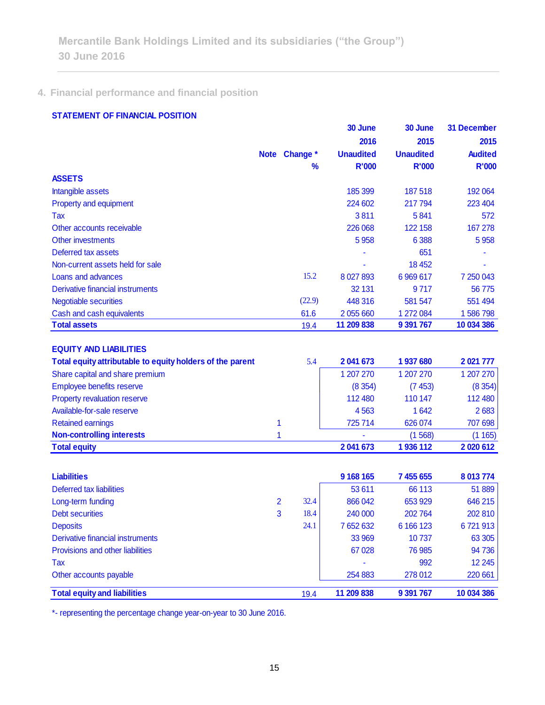## **4. Financial performance and financial position**

### **STATEMENT OF FINANCIAL POSITION**

|                                                                                                                               | <b>Note</b>    | Change *      | 30 June<br>2016<br><b>Unaudited</b> | 30 June<br>2015<br><b>Unaudited</b> | <b>31 December</b><br>2015<br><b>Audited</b> |
|-------------------------------------------------------------------------------------------------------------------------------|----------------|---------------|-------------------------------------|-------------------------------------|----------------------------------------------|
| <b>ASSETS</b>                                                                                                                 |                | $\frac{9}{6}$ | <b>R'000</b>                        | <b>R'000</b>                        | <b>R'000</b>                                 |
| Intangible assets                                                                                                             |                |               | 185 399                             | 187 518                             | 192 064                                      |
| Property and equipment                                                                                                        |                |               | 224 602                             | 217794                              | 223 404                                      |
| Tax                                                                                                                           |                |               | 3811                                | 5841                                | 572                                          |
| Other accounts receivable                                                                                                     |                |               | 226 068                             | 122 158                             | 167 278                                      |
| Other investments                                                                                                             |                |               | 5 9 5 8                             | 6 3 8 8                             | 5 9 5 8                                      |
| Deferred tax assets                                                                                                           |                |               |                                     | 651                                 |                                              |
| Non-current assets held for sale                                                                                              |                |               |                                     | 18 4 52                             |                                              |
| Loans and advances                                                                                                            |                | 15.2          | 8 0 27 8 93                         | 6 9 6 6 1 7                         | 7 250 043                                    |
| Derivative financial instruments                                                                                              |                |               | 32 131                              | 9717                                | 56775                                        |
| <b>Negotiable securities</b>                                                                                                  |                | (22.9)        | 448 316                             | 581 547                             | 551 494                                      |
| Cash and cash equivalents                                                                                                     |                | 61.6          | 2 055 660                           | 1 272 084                           | 1586798                                      |
| <b>Total assets</b>                                                                                                           |                | 19.4          | 11 209 838                          | 9 391 767                           | 10 034 386                                   |
| <b>EQUITY AND LIABILITIES</b><br>Total equity attributable to equity holders of the parent<br>Share capital and share premium |                | 5.4           | 2 041 673<br>1 207 270              | 1937680<br>1 207 270                | 2021 777<br>1 207 270                        |
| Employee benefits reserve                                                                                                     |                |               | (8354)                              | (7453)                              | (8354)                                       |
| Property revaluation reserve                                                                                                  |                |               | 112 480                             | 110 147                             | 112 480                                      |
| Available-for-sale reserve                                                                                                    |                |               | 4563                                | 1642                                | 2683                                         |
| <b>Retained earnings</b>                                                                                                      | 1              |               | 725714                              | 626 074                             | 707 698                                      |
| <b>Non-controlling interests</b>                                                                                              | 1              |               |                                     | (1568)                              | (1165)                                       |
| <b>Total equity</b>                                                                                                           |                |               | 2 041 673                           | 1936112                             | 2020612                                      |
| <b>Liabilities</b>                                                                                                            |                |               | 9 168 165                           | 7 455 655                           | 8 013 774                                    |
| Deferred tax liabilities                                                                                                      |                |               | 53 611                              | 66 113                              | 51 889                                       |
| Long-term funding                                                                                                             | $\overline{2}$ | 32.4          | 866 042                             | 653 929                             | 646 215                                      |
| <b>Debt securities</b>                                                                                                        | 3              | 18.4          | 240 000                             | 202764                              | 202 810                                      |
| <b>Deposits</b>                                                                                                               |                | 24.1          | 7 652 632                           | 6 166 123                           | 6721913                                      |
| <b>Derivative financial instruments</b>                                                                                       |                |               | 33 969                              | 10737                               | 63 30 5                                      |
| Provisions and other liabilities                                                                                              |                |               | 67 028                              | 76 985                              | 94 736                                       |
| Tax                                                                                                                           |                |               |                                     | 992                                 | 12 245                                       |
| Other accounts payable                                                                                                        |                |               | 254 883                             | 278 012                             | 220 661                                      |
| <b>Total equity and liabilities</b>                                                                                           |                | 19.4          | 11 209 838                          | 9 391 767                           | 10 034 386                                   |

\*- representing the percentage change year-on-year to 30 June 2016.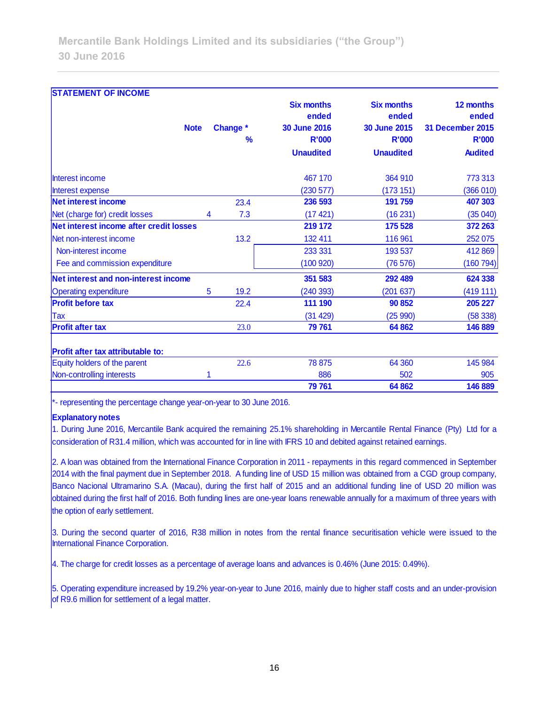| <b>STATEMENT OF INCOME</b>               |             |           |                                                   |                                                   |                                               |
|------------------------------------------|-------------|-----------|---------------------------------------------------|---------------------------------------------------|-----------------------------------------------|
|                                          | <b>Note</b> | Change *  | <b>Six months</b><br>ended<br><b>30 June 2016</b> | <b>Six months</b><br>ended<br><b>30 June 2015</b> | 12 months<br>ended<br><b>31 December 2015</b> |
|                                          |             | %         | <b>R'000</b>                                      | <b>R'000</b>                                      | <b>R'000</b>                                  |
|                                          |             |           | <b>Unaudited</b>                                  | <b>Unaudited</b>                                  | <b>Audited</b>                                |
| Interest income                          |             |           | 467 170                                           | 364 910                                           | 773 313                                       |
| Interest expense                         |             |           | (230 577)                                         | (173151)                                          | (366010)                                      |
| <b>Net interest income</b>               |             | 23.4      | 236 593                                           | 191 759                                           | 407 303                                       |
| Net (charge for) credit losses           |             | 7.3<br>4  | (17421)                                           | (16231)                                           | (35040)                                       |
| Net interest income after credit losses  |             |           | 219 172                                           | 175 528                                           | 372 263                                       |
| Net non-interest income                  |             | 13.2      | 132 411                                           | 116 961                                           | 252 075                                       |
| Non-interest income                      |             |           | 233 331                                           | 193 537                                           | 412 869                                       |
| Fee and commission expenditure           |             |           | (100920)                                          | (76 576)                                          | (160794)                                      |
| Net interest and non-interest income     |             |           | 351 583                                           | 292 489                                           | 624 338                                       |
| <b>Operating expenditure</b>             |             | 19.2<br>5 | (240393)                                          | (201637)                                          | (419111)                                      |
| <b>Profit before tax</b>                 |             | 22.4      | 111 190                                           | 90 852                                            | 205 227                                       |
| Tax                                      |             |           | (31 429)                                          | (25990)                                           | (58338)                                       |
| <b>Profit after tax</b>                  |             | 23.0      | 79 761                                            | 64 862                                            | 146 889                                       |
| <b>Profit after tax attributable to:</b> |             |           |                                                   |                                                   |                                               |
| Equity holders of the parent             |             | 22.6      | 78 875                                            | 64 360                                            | 145 984                                       |
| Non-controlling interests                |             |           | 886                                               | 502                                               | 905                                           |
|                                          |             |           | 79 761                                            | 64 862                                            | 146 889                                       |

\*- representing the percentage change year-on-year to 30 June 2016.

#### **Explanatory notes**

1. During June 2016, Mercantile Bank acquired the remaining 25.1% shareholding in Mercantile Rental Finance (Pty) Ltd for a consideration of R31.4 million, which was accounted for in line with IFRS 10 and debited against retained earnings.

2. A loan was obtained from the International Finance Corporation in 2011 - repayments in this regard commenced in September 2014 with the final payment due in September 2018. A funding line of USD 15 million was obtained from a CGD group company, Banco Nacional Ultramarino S.A. (Macau), during the first half of 2015 and an additional funding line of USD 20 million was obtained during the first half of 2016. Both funding lines are one-year loans renewable annually for a maximum of three years with the option of early settlement.

3. During the second quarter of 2016, R38 million in notes from the rental finance securitisation vehicle were issued to the International Finance Corporation.

4. The charge for credit losses as a percentage of average loans and advances is 0.46% (June 2015: 0.49%).

5. Operating expenditure increased by 19.2% year-on-year to June 2016, mainly due to higher staff costs and an under-provision of R9.6 million for settlement of a legal matter.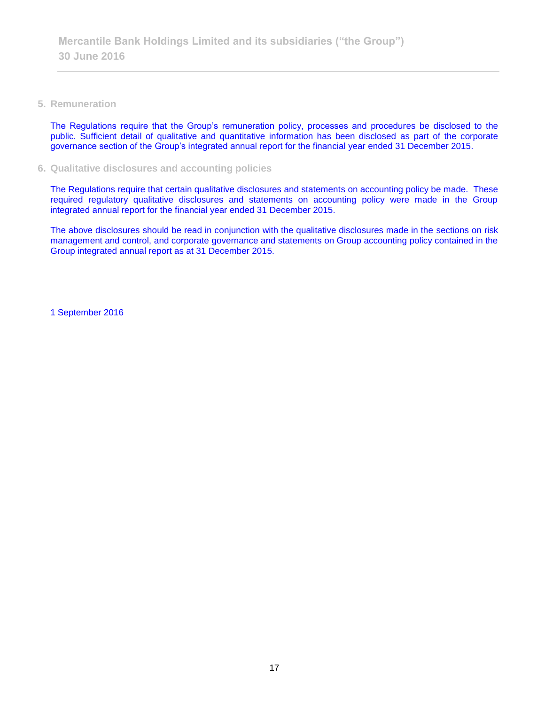### **5. Remuneration**

The Regulations require that the Group's remuneration policy, processes and procedures be disclosed to the public. Sufficient detail of qualitative and quantitative information has been disclosed as part of the corporate governance section of the Group's integrated annual report for the financial year ended 31 December 2015.

### **6. Qualitative disclosures and accounting policies**

The Regulations require that certain qualitative disclosures and statements on accounting policy be made. These required regulatory qualitative disclosures and statements on accounting policy were made in the Group integrated annual report for the financial year ended 31 December 2015.

The above disclosures should be read in conjunction with the qualitative disclosures made in the sections on risk management and control, and corporate governance and statements on Group accounting policy contained in the Group integrated annual report as at 31 December 2015.

1 September 2016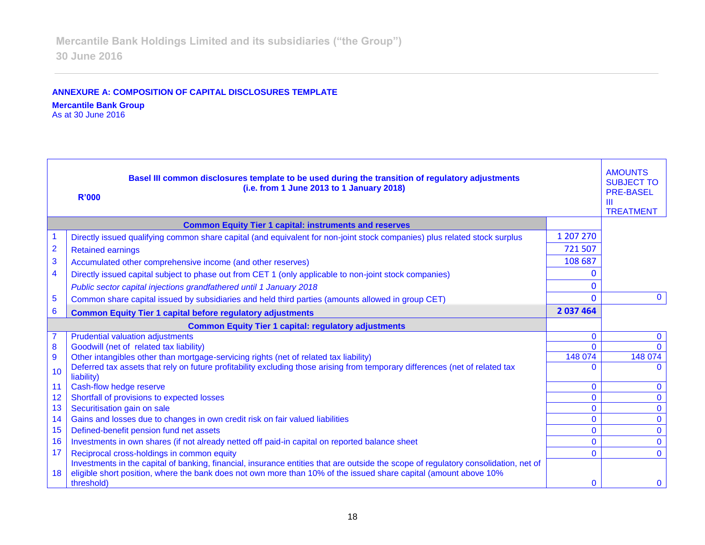### **ANNEXURE A: COMPOSITION OF CAPITAL DISCLOSURES TEMPLATE**

### **Mercantile Bank Group**

As at 30 June 2016

|                | Basel III common disclosures template to be used during the transition of regulatory adjustments<br>(i.e. from 1 June 2013 to 1 January 2018)<br><b>R'000</b> |              | <b>AMOUNTS</b><br><b>SUBJECT TO</b><br><b>PRE-BASEL</b><br>$\mathbf{m}$<br><b>TREATMENT</b> |
|----------------|---------------------------------------------------------------------------------------------------------------------------------------------------------------|--------------|---------------------------------------------------------------------------------------------|
|                | <b>Common Equity Tier 1 capital: instruments and reserves</b>                                                                                                 |              |                                                                                             |
| 1              | Directly issued qualifying common share capital (and equivalent for non-joint stock companies) plus related stock surplus                                     | 1 207 270    |                                                                                             |
| $\overline{2}$ | <b>Retained earnings</b>                                                                                                                                      | 721 507      |                                                                                             |
| 3              | Accumulated other comprehensive income (and other reserves)                                                                                                   | 108 687      |                                                                                             |
| 4              | Directly issued capital subject to phase out from CET 1 (only applicable to non-joint stock companies)                                                        |              |                                                                                             |
|                | Public sector capital injections grandfathered until 1 January 2018                                                                                           | 0            |                                                                                             |
| 5              | Common share capital issued by subsidiaries and held third parties (amounts allowed in group CET)                                                             | $\Omega$     | $\mathbf{0}$                                                                                |
| 6              | <b>Common Equity Tier 1 capital before regulatory adjustments</b>                                                                                             | 2 037 464    |                                                                                             |
|                | <b>Common Equity Tier 1 capital: regulatory adjustments</b>                                                                                                   |              |                                                                                             |
|                | <b>Prudential valuation adjustments</b>                                                                                                                       | $\mathbf{0}$ | $\mathbf{0}$                                                                                |
| 8              | Goodwill (net of related tax liability)                                                                                                                       | $\Omega$     |                                                                                             |
| $\overline{9}$ | Other intangibles other than mortgage-servicing rights (net of related tax liability)                                                                         | 148 074      | 148 074                                                                                     |
| 10             | Deferred tax assets that rely on future profitability excluding those arising from temporary differences (net of related tax<br>liability)                    |              |                                                                                             |
| 11             | Cash-flow hedge reserve                                                                                                                                       | $\mathbf{0}$ | $\mathbf{0}$                                                                                |
| 12             | Shortfall of provisions to expected losses                                                                                                                    | $\Omega$     | $\Omega$                                                                                    |
| 13             | Securitisation gain on sale                                                                                                                                   | $\mathbf{0}$ | $\Omega$                                                                                    |
| 14             | Gains and losses due to changes in own credit risk on fair valued liabilities                                                                                 | $\mathbf{0}$ | $\mathbf{0}$                                                                                |
| 15             | Defined-benefit pension fund net assets                                                                                                                       | $\mathbf{0}$ | $\mathbf{0}$                                                                                |
| 16             | Investments in own shares (if not already netted off paid-in capital on reported balance sheet                                                                | $\Omega$     | $\mathbf{0}$                                                                                |
| 17             | Reciprocal cross-holdings in common equity                                                                                                                    | $\Omega$     | $\Omega$                                                                                    |
|                | Investments in the capital of banking, financial, insurance entities that are outside the scope of regulatory consolidation, net of                           |              |                                                                                             |
| 18             | eligible short position, where the bank does not own more than 10% of the issued share capital (amount above 10%<br>threshold)                                | $\Omega$     | $\mathbf{0}$                                                                                |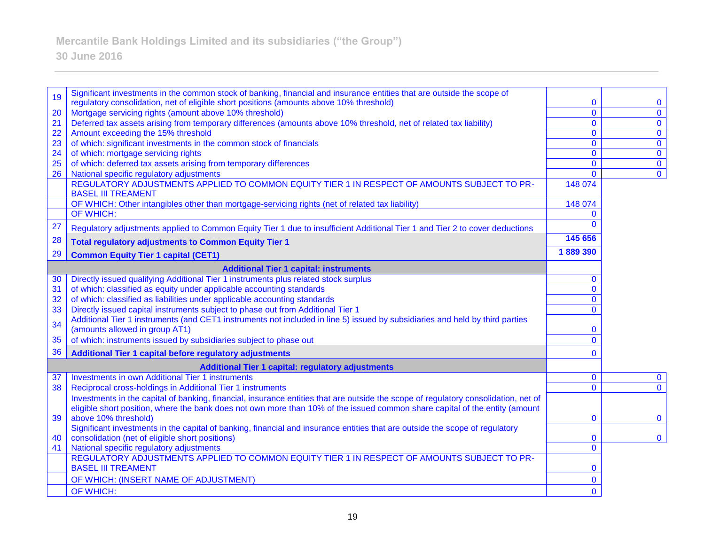#### 19 Significant investments in the common stock of banking, financial and insurance entities that are outside the scope of regulatory consolidation, net of eligible short positions (amounts above 10% threshold) 0 0 20 Mortgage servicing rights (amount above 10% threshold) 0 0 21 Deferred tax assets arising from temporary differences (amounts above 10% threshold, net of related tax liability) 0 0 22 Amount exceeding the 15% threshold 0 0 23 of which: significant investments in the common stock of financials 0 0 24 of which: mortgage servicing rights 0 0 25 of which: deferred tax assets arising from temporary differences 0 0 26 National specific regulatory adjustments and the control of the control of the control of the control of the control of the control of the control of the control of the control of the control of the control of the contr REGULATORY ADJUSTMENTS APPLIED TO COMMON EQUITY TIER 1 IN RESPECT OF AMOUNTS SUBJECT TO PR-BASEL III TREAMENT 148 074 OF WHICH: Other intangibles other than mortgage-servicing rights (net of related tax liability) 148 074 OF WHICH: 0 27 Regulatory adjustments applied to Common Equity Tier 1 due to insufficient Additional Tier 1 and Tier 2 to cover deductions 0 28 **Total regulatory adjustments to Common Equity Tier 1 145 656**  29 **Common Equity Tier 1 capital (CET1) 1 889 390 Additional Tier 1 capital: instruments** 30 Directly issued qualifying Additional Tier 1 instruments plus related stock surplus 0 31 of which: classified as equity under applicable accounting standards 0 32 of which: classified as liabilities under applicable accounting standards 0 33 Directly issued capital instruments subject to phase out from Additional Tier 1 0 Additional Tier 1 instruments (and CET1 instruments not included in line 5) issued by subsidiaries and held by third parties (amounts allowed in group AT1) 0 35 of which: instruments issued by subsidiaries subject to phase out 0 36 **Additional Tier 1 capital before regulatory adjustments** 0 **Additional Tier 1 capital: regulatory adjustments** 37 Investments in own Additional Tier 1 instruments 0 0 38 Reciprocal cross-holdings in Additional Tier 1 instruments 0 0 39 Investments in the capital of banking, financial, insurance entities that are outside the scope of regulatory consolidation, net of eligible short position, where the bank does not own more than 10% of the issued common share capital of the entity (amount above 10% threshold) and the state of the state of the state of the state of the state of the state of the state of the state of the state of the state of the state of the state of the state of the state of the state of th 40 Significant investments in the capital of banking, financial and insurance entities that are outside the scope of regulatory consolidation (net of eligible short positions) 0 0 41 National specific regulatory adjustments 0 REGULATORY ADJUSTMENTS APPLIED TO COMMON EQUITY TIER 1 IN RESPECT OF AMOUNTS SUBJECT TO PR-BASEL III TREAMENT 0 OF WHICH: (INSERT NAME OF ADJUSTMENT) 0 OF WHICH: 0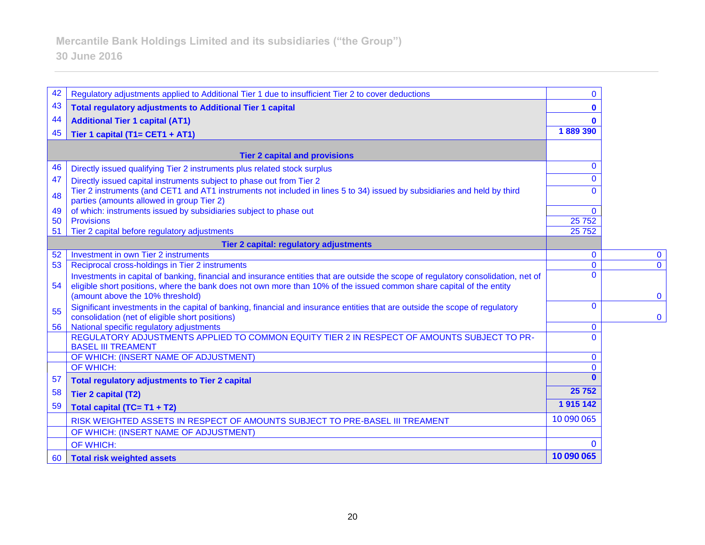| 42       | Regulatory adjustments applied to Additional Tier 1 due to insufficient Tier 2 to cover deductions                                 | $\mathbf{0}$               |  |
|----------|------------------------------------------------------------------------------------------------------------------------------------|----------------------------|--|
| 43       | <b>Total regulatory adjustments to Additional Tier 1 capital</b>                                                                   | $\bf{0}$                   |  |
| 44       | <b>Additional Tier 1 capital (AT1)</b>                                                                                             | $\mathbf{0}$               |  |
| 45       | Tier 1 capital (T1= CET1 + AT1)                                                                                                    | 1889 390                   |  |
|          |                                                                                                                                    |                            |  |
|          | <b>Tier 2 capital and provisions</b>                                                                                               |                            |  |
| 46       | Directly issued qualifying Tier 2 instruments plus related stock surplus                                                           | $\mathbf{0}$               |  |
| 47       | Directly issued capital instruments subject to phase out from Tier 2                                                               | $\Omega$                   |  |
| 48       | Tier 2 instruments (and CET1 and AT1 instruments not included in lines 5 to 34) issued by subsidiaries and held by third           | $\Omega$                   |  |
|          | parties (amounts allowed in group Tier 2)                                                                                          |                            |  |
| 49       | of which: instruments issued by subsidiaries subject to phase out                                                                  | $\Omega$                   |  |
| 50<br>51 | <b>Provisions</b><br>Tier 2 capital before regulatory adjustments                                                                  | 25 7 52<br>25752           |  |
|          |                                                                                                                                    |                            |  |
|          | Tier 2 capital: regulatory adjustments<br>Investment in own Tier 2 instruments                                                     |                            |  |
| 52<br>53 | Reciprocal cross-holdings in Tier 2 instruments                                                                                    | $\mathbf 0$<br>$\mathbf 0$ |  |
|          | Investments in capital of banking, financial and insurance entities that are outside the scope of regulatory consolidation, net of | $\Omega$                   |  |
| 54       | eligible short positions, where the bank does not own more than 10% of the issued common share capital of the entity               |                            |  |
|          | (amount above the 10% threshold)                                                                                                   |                            |  |
| 55       | Significant investments in the capital of banking, financial and insurance entities that are outside the scope of regulatory       | $\mathbf{0}$               |  |
|          | consolidation (net of eligible short positions)                                                                                    |                            |  |
| 56       | National specific regulatory adjustments                                                                                           | $\mathbf 0$                |  |
|          | REGULATORY ADJUSTMENTS APPLIED TO COMMON EQUITY TIER 2 IN RESPECT OF AMOUNTS SUBJECT TO PR-<br><b>BASEL III TREAMENT</b>           | $\Omega$                   |  |
|          | OF WHICH: (INSERT NAME OF ADJUSTMENT)                                                                                              | $\mathbf{0}$               |  |
|          | OF WHICH:                                                                                                                          | $\Omega$                   |  |
| 57       | <b>Total regulatory adjustments to Tier 2 capital</b>                                                                              |                            |  |
| 58       | <b>Tier 2 capital (T2)</b>                                                                                                         | 25 7 52                    |  |
| 59       |                                                                                                                                    | 1915142                    |  |
|          | Total capital (TC= T1 + T2)                                                                                                        | 10 090 065                 |  |
|          | RISK WEIGHTED ASSETS IN RESPECT OF AMOUNTS SUBJECT TO PRE-BASEL III TREAMENT                                                       |                            |  |
|          | OF WHICH: (INSERT NAME OF ADJUSTMENT)                                                                                              |                            |  |
|          | OF WHICH:                                                                                                                          | $\Omega$                   |  |
| 60       | Total risk weighted assets                                                                                                         | 10 090 065                 |  |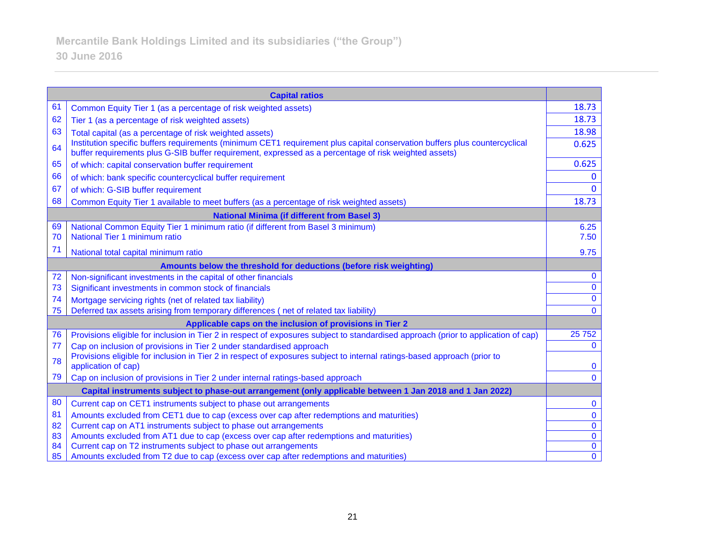| <b>Capital ratios</b>                                                                                                      |                                                                                                                                                                                                                                                                                                                                                                                                                                                                                                                                                                                                                                                                                                                                                                                                                                                                                                                                                                                                                                                                                      |  |  |
|----------------------------------------------------------------------------------------------------------------------------|--------------------------------------------------------------------------------------------------------------------------------------------------------------------------------------------------------------------------------------------------------------------------------------------------------------------------------------------------------------------------------------------------------------------------------------------------------------------------------------------------------------------------------------------------------------------------------------------------------------------------------------------------------------------------------------------------------------------------------------------------------------------------------------------------------------------------------------------------------------------------------------------------------------------------------------------------------------------------------------------------------------------------------------------------------------------------------------|--|--|
| Common Equity Tier 1 (as a percentage of risk weighted assets)                                                             | 18.73                                                                                                                                                                                                                                                                                                                                                                                                                                                                                                                                                                                                                                                                                                                                                                                                                                                                                                                                                                                                                                                                                |  |  |
| Tier 1 (as a percentage of risk weighted assets)                                                                           | 18.73                                                                                                                                                                                                                                                                                                                                                                                                                                                                                                                                                                                                                                                                                                                                                                                                                                                                                                                                                                                                                                                                                |  |  |
| Total capital (as a percentage of risk weighted assets)                                                                    | 18.98                                                                                                                                                                                                                                                                                                                                                                                                                                                                                                                                                                                                                                                                                                                                                                                                                                                                                                                                                                                                                                                                                |  |  |
| Institution specific buffers requirements (minimum CET1 requirement plus capital conservation buffers plus countercyclical | 0.625                                                                                                                                                                                                                                                                                                                                                                                                                                                                                                                                                                                                                                                                                                                                                                                                                                                                                                                                                                                                                                                                                |  |  |
| of which: capital conservation buffer requirement                                                                          | 0.625                                                                                                                                                                                                                                                                                                                                                                                                                                                                                                                                                                                                                                                                                                                                                                                                                                                                                                                                                                                                                                                                                |  |  |
| of which: bank specific countercyclical buffer requirement                                                                 | $\bf{0}$                                                                                                                                                                                                                                                                                                                                                                                                                                                                                                                                                                                                                                                                                                                                                                                                                                                                                                                                                                                                                                                                             |  |  |
| of which: G-SIB buffer requirement                                                                                         | $\Omega$                                                                                                                                                                                                                                                                                                                                                                                                                                                                                                                                                                                                                                                                                                                                                                                                                                                                                                                                                                                                                                                                             |  |  |
| Common Equity Tier 1 available to meet buffers (as a percentage of risk weighted assets)                                   | 18.73                                                                                                                                                                                                                                                                                                                                                                                                                                                                                                                                                                                                                                                                                                                                                                                                                                                                                                                                                                                                                                                                                |  |  |
| <b>National Minima (if different from Basel 3)</b>                                                                         |                                                                                                                                                                                                                                                                                                                                                                                                                                                                                                                                                                                                                                                                                                                                                                                                                                                                                                                                                                                                                                                                                      |  |  |
| National Common Equity Tier 1 minimum ratio (if different from Basel 3 minimum)                                            | 6.25                                                                                                                                                                                                                                                                                                                                                                                                                                                                                                                                                                                                                                                                                                                                                                                                                                                                                                                                                                                                                                                                                 |  |  |
|                                                                                                                            | 7.50                                                                                                                                                                                                                                                                                                                                                                                                                                                                                                                                                                                                                                                                                                                                                                                                                                                                                                                                                                                                                                                                                 |  |  |
| National total capital minimum ratio                                                                                       | 9.75                                                                                                                                                                                                                                                                                                                                                                                                                                                                                                                                                                                                                                                                                                                                                                                                                                                                                                                                                                                                                                                                                 |  |  |
| Amounts below the threshold for deductions (before risk weighting)                                                         |                                                                                                                                                                                                                                                                                                                                                                                                                                                                                                                                                                                                                                                                                                                                                                                                                                                                                                                                                                                                                                                                                      |  |  |
|                                                                                                                            | $\bf{0}$                                                                                                                                                                                                                                                                                                                                                                                                                                                                                                                                                                                                                                                                                                                                                                                                                                                                                                                                                                                                                                                                             |  |  |
|                                                                                                                            | $\bf{0}$                                                                                                                                                                                                                                                                                                                                                                                                                                                                                                                                                                                                                                                                                                                                                                                                                                                                                                                                                                                                                                                                             |  |  |
|                                                                                                                            | $\mathbf{0}$                                                                                                                                                                                                                                                                                                                                                                                                                                                                                                                                                                                                                                                                                                                                                                                                                                                                                                                                                                                                                                                                         |  |  |
|                                                                                                                            | $\mathbf{0}$                                                                                                                                                                                                                                                                                                                                                                                                                                                                                                                                                                                                                                                                                                                                                                                                                                                                                                                                                                                                                                                                         |  |  |
|                                                                                                                            |                                                                                                                                                                                                                                                                                                                                                                                                                                                                                                                                                                                                                                                                                                                                                                                                                                                                                                                                                                                                                                                                                      |  |  |
|                                                                                                                            | 25752                                                                                                                                                                                                                                                                                                                                                                                                                                                                                                                                                                                                                                                                                                                                                                                                                                                                                                                                                                                                                                                                                |  |  |
|                                                                                                                            | $\mathbf{0}$                                                                                                                                                                                                                                                                                                                                                                                                                                                                                                                                                                                                                                                                                                                                                                                                                                                                                                                                                                                                                                                                         |  |  |
| application of cap)                                                                                                        | $\bf{0}$                                                                                                                                                                                                                                                                                                                                                                                                                                                                                                                                                                                                                                                                                                                                                                                                                                                                                                                                                                                                                                                                             |  |  |
| Cap on inclusion of provisions in Tier 2 under internal ratings-based approach                                             | $\mathbf{0}$                                                                                                                                                                                                                                                                                                                                                                                                                                                                                                                                                                                                                                                                                                                                                                                                                                                                                                                                                                                                                                                                         |  |  |
| Capital instruments subject to phase-out arrangement (only applicable between 1 Jan 2018 and 1 Jan 2022)                   |                                                                                                                                                                                                                                                                                                                                                                                                                                                                                                                                                                                                                                                                                                                                                                                                                                                                                                                                                                                                                                                                                      |  |  |
| Current cap on CET1 instruments subject to phase out arrangements                                                          | $\bf{0}$                                                                                                                                                                                                                                                                                                                                                                                                                                                                                                                                                                                                                                                                                                                                                                                                                                                                                                                                                                                                                                                                             |  |  |
| Amounts excluded from CET1 due to cap (excess over cap after redemptions and maturities)                                   | $\bf{0}$                                                                                                                                                                                                                                                                                                                                                                                                                                                                                                                                                                                                                                                                                                                                                                                                                                                                                                                                                                                                                                                                             |  |  |
| Current cap on AT1 instruments subject to phase out arrangements                                                           | $\bf{0}$                                                                                                                                                                                                                                                                                                                                                                                                                                                                                                                                                                                                                                                                                                                                                                                                                                                                                                                                                                                                                                                                             |  |  |
|                                                                                                                            | $\mathbf 0$                                                                                                                                                                                                                                                                                                                                                                                                                                                                                                                                                                                                                                                                                                                                                                                                                                                                                                                                                                                                                                                                          |  |  |
|                                                                                                                            | $\pmb{0}$<br>$\overline{0}$                                                                                                                                                                                                                                                                                                                                                                                                                                                                                                                                                                                                                                                                                                                                                                                                                                                                                                                                                                                                                                                          |  |  |
|                                                                                                                            | buffer requirements plus G-SIB buffer requirement, expressed as a percentage of risk weighted assets)<br>National Tier 1 minimum ratio<br>Non-significant investments in the capital of other financials<br>Significant investments in common stock of financials<br>Mortgage servicing rights (net of related tax liability)<br>Deferred tax assets arising from temporary differences (net of related tax liability)<br>Applicable caps on the inclusion of provisions in Tier 2<br>Provisions eligible for inclusion in Tier 2 in respect of exposures subject to standardised approach (prior to application of cap)<br>Cap on inclusion of provisions in Tier 2 under standardised approach<br>Provisions eligible for inclusion in Tier 2 in respect of exposures subject to internal ratings-based approach (prior to<br>Amounts excluded from AT1 due to cap (excess over cap after redemptions and maturities)<br>Current cap on T2 instruments subject to phase out arrangements<br>Amounts excluded from T2 due to cap (excess over cap after redemptions and maturities) |  |  |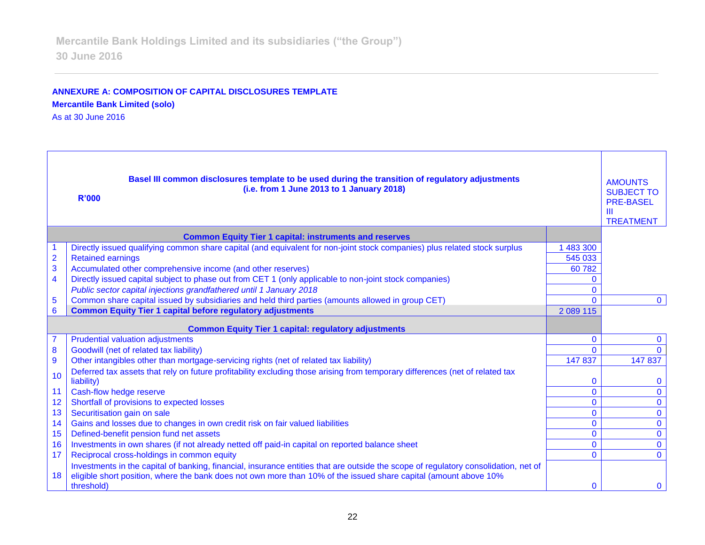### **ANNEXURE A: COMPOSITION OF CAPITAL DISCLOSURES TEMPLATE Mercantile Bank Limited (solo)**

As at 30 June 2016

| Basel III common disclosures template to be used during the transition of regulatory adjustments<br><b>AMOUNTS</b><br>(i.e. from 1 June 2013 to 1 January 2018)<br><b>SUBJECT TO</b><br><b>R'000</b><br><b>PRE-BASEL</b><br>Ш<br><b>TREATMENT</b> |                                                                                                                                            |              |                |
|---------------------------------------------------------------------------------------------------------------------------------------------------------------------------------------------------------------------------------------------------|--------------------------------------------------------------------------------------------------------------------------------------------|--------------|----------------|
|                                                                                                                                                                                                                                                   | <b>Common Equity Tier 1 capital: instruments and reserves</b>                                                                              |              |                |
|                                                                                                                                                                                                                                                   | Directly issued qualifying common share capital (and equivalent for non-joint stock companies) plus related stock surplus                  | 1 483 300    |                |
| $\overline{2}$                                                                                                                                                                                                                                    | <b>Retained earnings</b>                                                                                                                   | 545 033      |                |
| 3                                                                                                                                                                                                                                                 | Accumulated other comprehensive income (and other reserves)                                                                                | 60782        |                |
| $\overline{4}$                                                                                                                                                                                                                                    | Directly issued capital subject to phase out from CET 1 (only applicable to non-joint stock companies)                                     | $\Omega$     |                |
|                                                                                                                                                                                                                                                   | Public sector capital injections grandfathered until 1 January 2018                                                                        | $\Omega$     |                |
| $\overline{5}$                                                                                                                                                                                                                                    | Common share capital issued by subsidiaries and held third parties (amounts allowed in group CET)                                          | $\Omega$     | $\mathbf{0}$   |
| $6\phantom{1}6$                                                                                                                                                                                                                                   | <b>Common Equity Tier 1 capital before regulatory adjustments</b>                                                                          | 2 089 115    |                |
|                                                                                                                                                                                                                                                   | <b>Common Equity Tier 1 capital: regulatory adjustments</b>                                                                                |              |                |
|                                                                                                                                                                                                                                                   | <b>Prudential valuation adjustments</b>                                                                                                    | $\mathbf{0}$ | $\mathbf{0}$   |
| 8                                                                                                                                                                                                                                                 | Goodwill (net of related tax liability)                                                                                                    | $\Omega$     | $\Omega$       |
| 9                                                                                                                                                                                                                                                 | Other intangibles other than mortgage-servicing rights (net of related tax liability)                                                      | 147837       | 147 837        |
| 10                                                                                                                                                                                                                                                | Deferred tax assets that rely on future profitability excluding those arising from temporary differences (net of related tax<br>liability) | $\mathbf{0}$ | $\mathbf{0}$   |
| 11                                                                                                                                                                                                                                                | Cash-flow hedge reserve                                                                                                                    | $\mathbf{0}$ | $\mathbf 0$    |
| 12                                                                                                                                                                                                                                                | Shortfall of provisions to expected losses                                                                                                 | $\Omega$     | $\mathbf{O}$   |
| 13                                                                                                                                                                                                                                                | Securitisation gain on sale                                                                                                                | $\mathbf{0}$ | $\overline{0}$ |
| 14                                                                                                                                                                                                                                                | Gains and losses due to changes in own credit risk on fair valued liabilities                                                              | $\mathbf{0}$ | $\mathbf 0$    |
| 15                                                                                                                                                                                                                                                | Defined-benefit pension fund net assets                                                                                                    | $\mathbf 0$  | $\overline{0}$ |
| 16                                                                                                                                                                                                                                                | Investments in own shares (if not already netted off paid-in capital on reported balance sheet                                             | $\mathbf{0}$ | $\mathbf 0$    |
| 17                                                                                                                                                                                                                                                | Reciprocal cross-holdings in common equity                                                                                                 | $\Omega$     | $\mathbf{0}$   |
|                                                                                                                                                                                                                                                   | Investments in the capital of banking, financial, insurance entities that are outside the scope of regulatory consolidation, net of        |              |                |
| 18                                                                                                                                                                                                                                                | eligible short position, where the bank does not own more than 10% of the issued share capital (amount above 10%<br>threshold)             | $\Omega$     | $\mathbf{0}$   |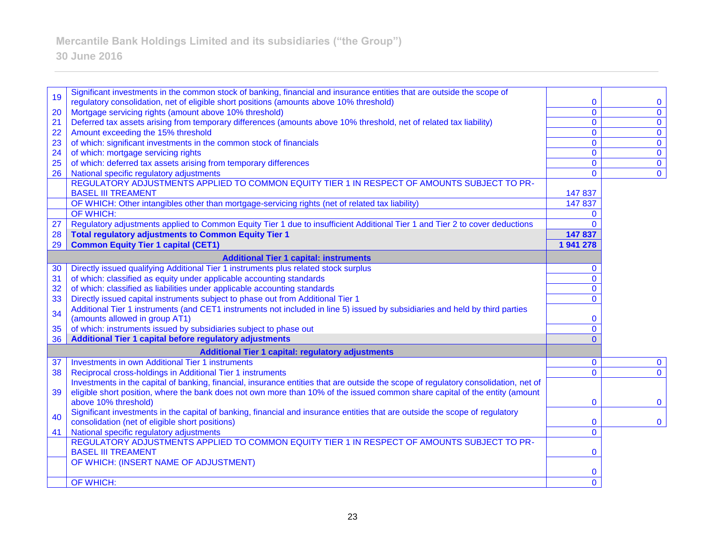# **30 June 2016**

| 19       | Significant investments in the common stock of banking, financial and insurance entities that are outside the scope of                                                       |                   |                               |
|----------|------------------------------------------------------------------------------------------------------------------------------------------------------------------------------|-------------------|-------------------------------|
|          | regulatory consolidation, net of eligible short positions (amounts above 10% threshold)                                                                                      | 0<br>$\mathbf{0}$ | $\mathbf 0$<br>$\overline{0}$ |
| 20<br>21 | Mortgage servicing rights (amount above 10% threshold)<br>Deferred tax assets arising from temporary differences (amounts above 10% threshold, net of related tax liability) | $\mathbf{0}$      | $\overline{0}$                |
| 22       | Amount exceeding the 15% threshold                                                                                                                                           | $\mathbf{0}$      | $\overline{0}$                |
| 23       | of which: significant investments in the common stock of financials                                                                                                          | $\mathbf{0}$      | $\mathbf 0$                   |
| 24       | of which: mortgage servicing rights                                                                                                                                          | $\mathbf{0}$      | $\overline{0}$                |
| 25       | of which: deferred tax assets arising from temporary differences                                                                                                             | $\mathbf{0}$      | $\mathbf 0$                   |
| 26       | National specific regulatory adjustments                                                                                                                                     | $\mathbf{0}$      | $\overline{0}$                |
|          | REGULATORY ADJUSTMENTS APPLIED TO COMMON EQUITY TIER 1 IN RESPECT OF AMOUNTS SUBJECT TO PR-                                                                                  |                   |                               |
|          | <b>BASEL III TREAMENT</b>                                                                                                                                                    | 147 837           |                               |
|          | OF WHICH: Other intangibles other than mortgage-servicing rights (net of related tax liability)                                                                              | 147 837           |                               |
|          | OF WHICH:                                                                                                                                                                    | $\Omega$          |                               |
| 27       | Regulatory adjustments applied to Common Equity Tier 1 due to insufficient Additional Tier 1 and Tier 2 to cover deductions                                                  | $\Omega$          |                               |
| 28       | <b>Total regulatory adjustments to Common Equity Tier 1</b>                                                                                                                  | 147 837           |                               |
| 29       | <b>Common Equity Tier 1 capital (CET1)</b>                                                                                                                                   | 1941278           |                               |
|          | <b>Additional Tier 1 capital: instruments</b>                                                                                                                                |                   |                               |
| 30       | Directly issued qualifying Additional Tier 1 instruments plus related stock surplus                                                                                          | $\mathbf{0}$      |                               |
| 31       | of which: classified as equity under applicable accounting standards                                                                                                         | $\overline{0}$    |                               |
| 32       | of which: classified as liabilities under applicable accounting standards                                                                                                    | $\mathbf{0}$      |                               |
| 33       | Directly issued capital instruments subject to phase out from Additional Tier 1                                                                                              | $\Omega$          |                               |
| 34       | Additional Tier 1 instruments (and CET1 instruments not included in line 5) issued by subsidiaries and held by third parties                                                 |                   |                               |
|          | (amounts allowed in group AT1)                                                                                                                                               | $\mathbf 0$       |                               |
| 35       | of which: instruments issued by subsidiaries subject to phase out                                                                                                            | $\mathbf{0}$      |                               |
| 36       | Additional Tier 1 capital before regulatory adjustments                                                                                                                      | $\Omega$          |                               |
|          | <b>Additional Tier 1 capital: regulatory adjustments</b>                                                                                                                     |                   |                               |
| 37       | <b>Investments in own Additional Tier 1 instruments</b>                                                                                                                      | $\mathbf{0}$      | $\mathbf 0$                   |
| 38       | Reciprocal cross-holdings in Additional Tier 1 instruments                                                                                                                   | $\mathbf{0}$      | $\mathbf{0}$                  |
|          | Investments in the capital of banking, financial, insurance entities that are outside the scope of regulatory consolidation, net of                                          |                   |                               |
| 39       | eligible short position, where the bank does not own more than 10% of the issued common share capital of the entity (amount                                                  |                   |                               |
|          | above 10% threshold)                                                                                                                                                         | $\mathbf 0$       | $\mathbf{0}$                  |
| 40       | Significant investments in the capital of banking, financial and insurance entities that are outside the scope of regulatory                                                 |                   |                               |
|          | consolidation (net of eligible short positions)                                                                                                                              | $\mathbf{0}$      | $\mathbf 0$                   |
| 41       | National specific regulatory adjustments<br>REGULATORY ADJUSTMENTS APPLIED TO COMMON EQUITY TIER 1 IN RESPECT OF AMOUNTS SUBJECT TO PR-                                      | $\mathbf{0}$      |                               |
|          | <b>BASEL III TREAMENT</b>                                                                                                                                                    | $\mathbf 0$       |                               |
|          | OF WHICH: (INSERT NAME OF ADJUSTMENT)                                                                                                                                        |                   |                               |
|          |                                                                                                                                                                              | $\bf{0}$          |                               |
|          | OF WHICH:                                                                                                                                                                    | $\overline{0}$    |                               |
|          |                                                                                                                                                                              |                   |                               |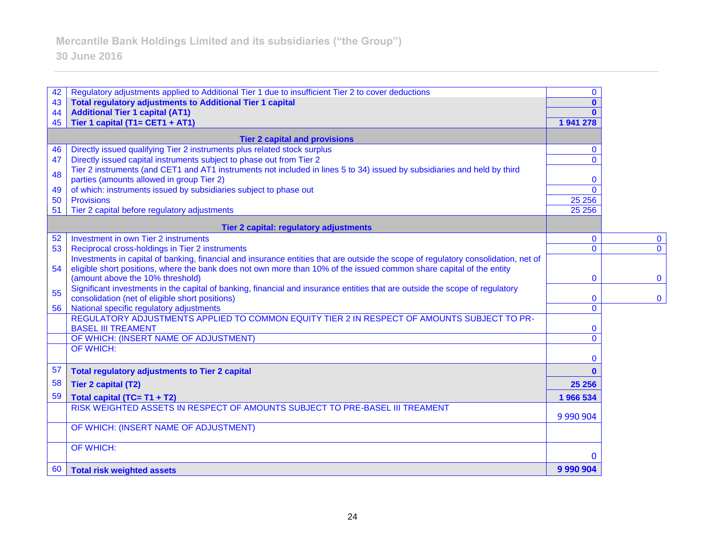# **30 June 2016**

| 42       | Regulatory adjustments applied to Additional Tier 1 due to insufficient Tier 2 to cover deductions                                                                    | $\mathbf{0}$              |                |
|----------|-----------------------------------------------------------------------------------------------------------------------------------------------------------------------|---------------------------|----------------|
| 43       | <b>Total regulatory adjustments to Additional Tier 1 capital</b>                                                                                                      | 0                         |                |
| 44<br>45 | <b>Additional Tier 1 capital (AT1)</b><br>Tier 1 capital (T1= CET1 + AT1)                                                                                             | 1941278                   |                |
|          |                                                                                                                                                                       |                           |                |
|          | <b>Tier 2 capital and provisions</b>                                                                                                                                  |                           |                |
| 46       | Directly issued qualifying Tier 2 instruments plus related stock surplus                                                                                              | $\bf{0}$                  |                |
| 47       | Directly issued capital instruments subject to phase out from Tier 2                                                                                                  | $\Omega$                  |                |
| 48       | Tier 2 instruments (and CET1 and AT1 instruments not included in lines 5 to 34) issued by subsidiaries and held by third<br>parties (amounts allowed in group Tier 2) | $\mathbf{0}$              |                |
| 49       | of which: instruments issued by subsidiaries subject to phase out                                                                                                     | $\Omega$                  |                |
| 50       | <b>Provisions</b>                                                                                                                                                     | 25 25 6                   |                |
| 51       | Tier 2 capital before regulatory adjustments                                                                                                                          | 25 25 6                   |                |
|          | <b>Tier 2 capital: regulatory adjustments</b>                                                                                                                         |                           |                |
| 52       | Investment in own Tier 2 instruments                                                                                                                                  | $\mathbf{0}$              | $\mathbf 0$    |
| 53       | Reciprocal cross-holdings in Tier 2 instruments                                                                                                                       | $\mathbf{0}$              | $\overline{0}$ |
|          | Investments in capital of banking, financial and insurance entities that are outside the scope of regulatory consolidation, net of                                    |                           |                |
| 54       | eligible short positions, where the bank does not own more than 10% of the issued common share capital of the entity<br>(amount above the 10% threshold)              | $\mathbf 0$               | $\mathbf 0$    |
|          | Significant investments in the capital of banking, financial and insurance entities that are outside the scope of regulatory                                          |                           |                |
| 55       | consolidation (net of eligible short positions)                                                                                                                       | $\bf{0}$                  | $\mathbf 0$    |
| 56       | National specific regulatory adjustments                                                                                                                              | $\mathbf{0}$              |                |
|          | REGULATORY ADJUSTMENTS APPLIED TO COMMON EQUITY TIER 2 IN RESPECT OF AMOUNTS SUBJECT TO PR-                                                                           |                           |                |
|          | <b>BASEL III TREAMENT</b>                                                                                                                                             | $\bf{0}$                  |                |
|          | OF WHICH: (INSERT NAME OF ADJUSTMENT)<br><b>OF WHICH:</b>                                                                                                             | $\mathbf{0}$              |                |
|          |                                                                                                                                                                       | $\mathbf{0}$              |                |
| 57       | <b>Total regulatory adjustments to Tier 2 capital</b>                                                                                                                 | $\mathbf{0}$              |                |
| 58       | <b>Tier 2 capital (T2)</b>                                                                                                                                            | 25 25 6                   |                |
| 59       | Total capital (TC= T1 + T2)                                                                                                                                           | 1966 534                  |                |
|          | RISK WEIGHTED ASSETS IN RESPECT OF AMOUNTS SUBJECT TO PRE-BASEL III TREAMENT                                                                                          |                           |                |
|          |                                                                                                                                                                       | 9 9 9 9 9 9 9 1 9 9 9 0 4 |                |
|          | OF WHICH: (INSERT NAME OF ADJUSTMENT)                                                                                                                                 |                           |                |
|          | <b>OF WHICH:</b>                                                                                                                                                      |                           |                |
|          |                                                                                                                                                                       | $\bf{0}$                  |                |
| 60       | <b>Total risk weighted assets</b>                                                                                                                                     | 9 9 9 9 9 9 9 4           |                |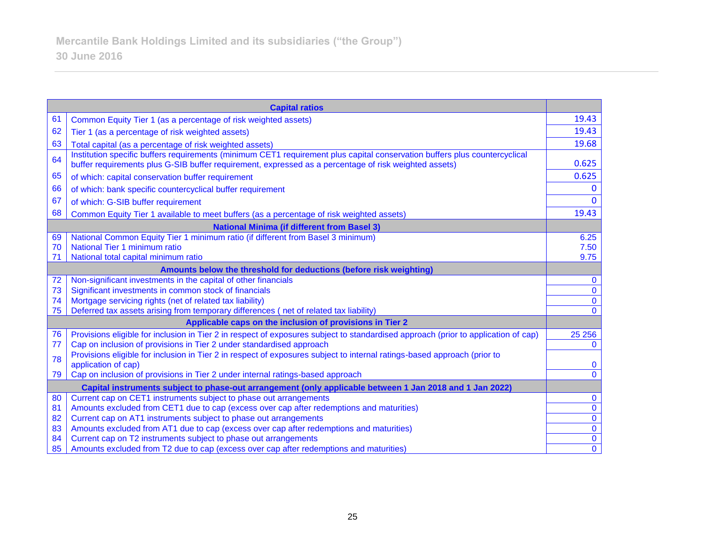| <b>Capital ratios</b>                                                                |                                                                                                                                                                                                                                     |                                  |  |
|--------------------------------------------------------------------------------------|-------------------------------------------------------------------------------------------------------------------------------------------------------------------------------------------------------------------------------------|----------------------------------|--|
| 61                                                                                   | Common Equity Tier 1 (as a percentage of risk weighted assets)                                                                                                                                                                      | 19.43                            |  |
| 62                                                                                   | Tier 1 (as a percentage of risk weighted assets)                                                                                                                                                                                    | 19.43                            |  |
| 63                                                                                   | Total capital (as a percentage of risk weighted assets)                                                                                                                                                                             | 19.68                            |  |
| 64                                                                                   | Institution specific buffers requirements (minimum CET1 requirement plus capital conservation buffers plus countercyclical<br>buffer requirements plus G-SIB buffer requirement, expressed as a percentage of risk weighted assets) | 0.625                            |  |
| 65                                                                                   | of which: capital conservation buffer requirement                                                                                                                                                                                   | 0.625                            |  |
| 66                                                                                   | of which: bank specific countercyclical buffer requirement                                                                                                                                                                          | $\mathbf{0}$                     |  |
| 67                                                                                   | of which: G-SIB buffer requirement                                                                                                                                                                                                  | $\Omega$                         |  |
| 68                                                                                   | Common Equity Tier 1 available to meet buffers (as a percentage of risk weighted assets)                                                                                                                                            | 19.43                            |  |
|                                                                                      | <b>National Minima (if different from Basel 3)</b>                                                                                                                                                                                  |                                  |  |
| 69                                                                                   | National Common Equity Tier 1 minimum ratio (if different from Basel 3 minimum)                                                                                                                                                     | 6.25                             |  |
| 70                                                                                   | National Tier 1 minimum ratio                                                                                                                                                                                                       | 7.50                             |  |
| 71                                                                                   | National total capital minimum ratio                                                                                                                                                                                                | 9.75                             |  |
| Amounts below the threshold for deductions (before risk weighting)                   |                                                                                                                                                                                                                                     |                                  |  |
| 72                                                                                   | Non-significant investments in the capital of other financials                                                                                                                                                                      | $\mathbf{0}$                     |  |
| 73                                                                                   | Significant investments in common stock of financials                                                                                                                                                                               | $\mathbf 0$                      |  |
| 74                                                                                   | Mortgage servicing rights (net of related tax liability)                                                                                                                                                                            | $\mathbf 0$                      |  |
| 75                                                                                   | Deferred tax assets arising from temporary differences (net of related tax liability)                                                                                                                                               | $\Omega$                         |  |
|                                                                                      | Applicable caps on the inclusion of provisions in Tier 2                                                                                                                                                                            |                                  |  |
| 76                                                                                   | Provisions eligible for inclusion in Tier 2 in respect of exposures subject to standardised approach (prior to application of cap)                                                                                                  | 25 25 6                          |  |
| 77                                                                                   | Cap on inclusion of provisions in Tier 2 under standardised approach                                                                                                                                                                | $\mathbf{0}$                     |  |
| 78                                                                                   | Provisions eligible for inclusion in Tier 2 in respect of exposures subject to internal ratings-based approach (prior to                                                                                                            |                                  |  |
|                                                                                      | application of cap)                                                                                                                                                                                                                 | $\mathbf{0}$<br>$\mathbf{0}$     |  |
| Cap on inclusion of provisions in Tier 2 under internal ratings-based approach<br>79 |                                                                                                                                                                                                                                     |                                  |  |
|                                                                                      | Capital instruments subject to phase-out arrangement (only applicable between 1 Jan 2018 and 1 Jan 2022)                                                                                                                            |                                  |  |
| 80                                                                                   | Current cap on CET1 instruments subject to phase out arrangements                                                                                                                                                                   | $\mathbf 0$                      |  |
| 81                                                                                   | Amounts excluded from CET1 due to cap (excess over cap after redemptions and maturities)                                                                                                                                            | $\overline{0}$<br>$\overline{0}$ |  |
| 82                                                                                   | Current cap on AT1 instruments subject to phase out arrangements                                                                                                                                                                    | $\mathbf 0$                      |  |
| 83<br>84                                                                             | Amounts excluded from AT1 due to cap (excess over cap after redemptions and maturities)<br>Current cap on T2 instruments subject to phase out arrangements                                                                          | $\mathbf 0$                      |  |
| 85                                                                                   | Amounts excluded from T2 due to cap (excess over cap after redemptions and maturities)                                                                                                                                              | $\overline{0}$                   |  |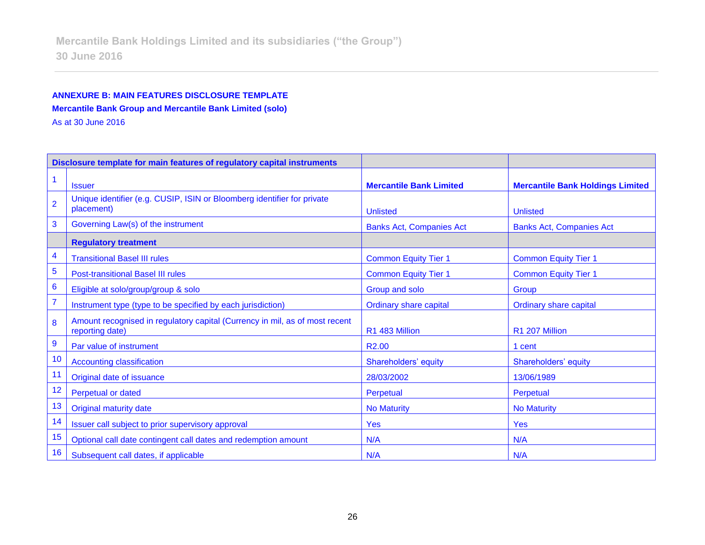## **ANNEXURE B: MAIN FEATURES DISCLOSURE TEMPLATE Mercantile Bank Group and Mercantile Bank Limited (solo)**

As at 30 June 2016

| Disclosure template for main features of regulatory capital instruments |                                                                                                |                                 |                                         |
|-------------------------------------------------------------------------|------------------------------------------------------------------------------------------------|---------------------------------|-----------------------------------------|
|                                                                         | <b>Issuer</b>                                                                                  | <b>Mercantile Bank Limited</b>  | <b>Mercantile Bank Holdings Limited</b> |
| $\overline{2}$                                                          | Unique identifier (e.g. CUSIP, ISIN or Bloomberg identifier for private<br>placement)          | <b>Unlisted</b>                 | <b>Unlisted</b>                         |
| 3                                                                       | Governing Law(s) of the instrument                                                             | <b>Banks Act, Companies Act</b> | <b>Banks Act, Companies Act</b>         |
|                                                                         | <b>Regulatory treatment</b>                                                                    |                                 |                                         |
| 4                                                                       | <b>Transitional Basel III rules</b>                                                            | <b>Common Equity Tier 1</b>     | <b>Common Equity Tier 1</b>             |
| 5                                                                       | <b>Post-transitional Basel III rules</b>                                                       | <b>Common Equity Tier 1</b>     | <b>Common Equity Tier 1</b>             |
| $6\phantom{1}6$                                                         | Eligible at solo/group/group & solo                                                            | Group and solo                  | Group                                   |
| $\overline{7}$                                                          | Instrument type (type to be specified by each jurisdiction)                                    | <b>Ordinary share capital</b>   | <b>Ordinary share capital</b>           |
| 8                                                                       | Amount recognised in regulatory capital (Currency in mil, as of most recent<br>reporting date) | R1 483 Million                  | R1 207 Million                          |
| $\boldsymbol{9}$                                                        | Par value of instrument                                                                        | R <sub>2.00</sub>               | 1 cent                                  |
| 10                                                                      | <b>Accounting classification</b>                                                               | Shareholders' equity            | Shareholders' equity                    |
| 11                                                                      | Original date of issuance                                                                      | 28/03/2002                      | 13/06/1989                              |
| 12                                                                      | <b>Perpetual or dated</b>                                                                      | Perpetual                       | Perpetual                               |
| 13                                                                      | <b>Original maturity date</b>                                                                  | <b>No Maturity</b>              | <b>No Maturity</b>                      |
| 14                                                                      | Issuer call subject to prior supervisory approval                                              | Yes                             | <b>Yes</b>                              |
| 15                                                                      | Optional call date contingent call dates and redemption amount                                 | N/A                             | N/A                                     |
| 16                                                                      | Subsequent call dates, if applicable                                                           | N/A                             | N/A                                     |